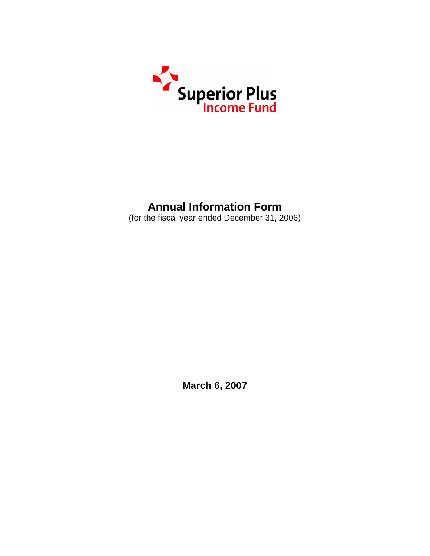

# **Annual Information Form**

(for the fiscal year ended December 31, 2006)

**March 6, 2007**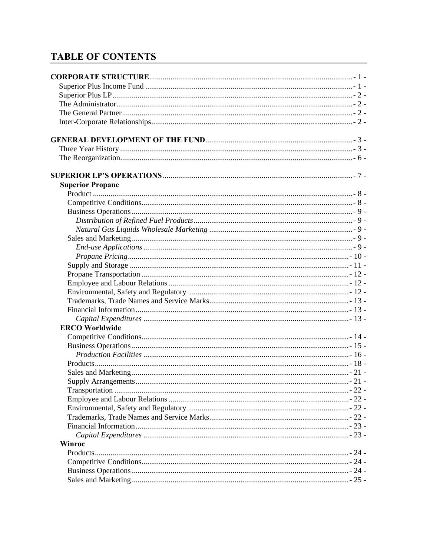# **TABLE OF CONTENTS**

| <b>Superior Propane</b> |  |
|-------------------------|--|
|                         |  |
|                         |  |
|                         |  |
|                         |  |
|                         |  |
|                         |  |
|                         |  |
|                         |  |
|                         |  |
|                         |  |
|                         |  |
|                         |  |
|                         |  |
|                         |  |
|                         |  |
| <b>ERCO Worldwide</b>   |  |
|                         |  |
|                         |  |
|                         |  |
|                         |  |
|                         |  |
|                         |  |
|                         |  |
|                         |  |
|                         |  |
|                         |  |
|                         |  |
|                         |  |
| Winroc                  |  |
|                         |  |
|                         |  |
|                         |  |
|                         |  |
|                         |  |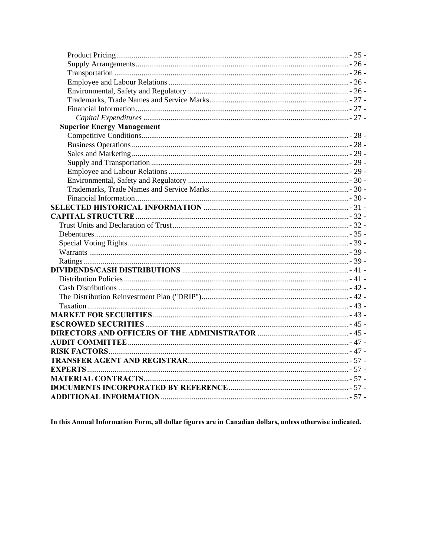| <b>Superior Energy Management</b> |  |
|-----------------------------------|--|
|                                   |  |
|                                   |  |
|                                   |  |
|                                   |  |
|                                   |  |
|                                   |  |
|                                   |  |
|                                   |  |
|                                   |  |
|                                   |  |
|                                   |  |
|                                   |  |
|                                   |  |
|                                   |  |
|                                   |  |
|                                   |  |
|                                   |  |
|                                   |  |
|                                   |  |
|                                   |  |
|                                   |  |
|                                   |  |
|                                   |  |
|                                   |  |
|                                   |  |
|                                   |  |
|                                   |  |
|                                   |  |
|                                   |  |
|                                   |  |

In this Annual Information Form, all dollar figures are in Canadian dollars, unless otherwise indicated.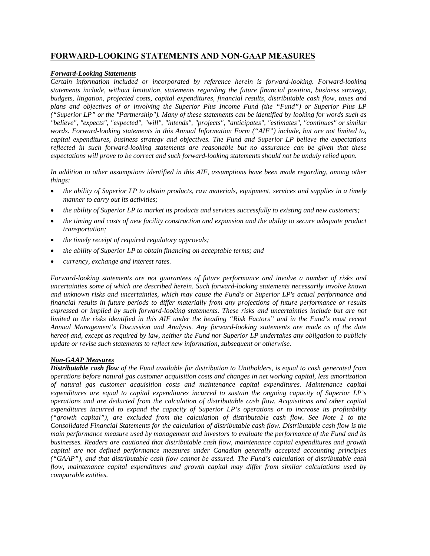### **FORWARD-LOOKING STATEMENTS AND NON-GAAP MEASURES**

#### *Forward-Looking Statements*

*Certain information included or incorporated by reference herein is forward-looking. Forward-looking statements include, without limitation, statements regarding the future financial position, business strategy, budgets, litigation, projected costs, capital expenditures, financial results, distributable cash flow, taxes and plans and objectives of or involving the Superior Plus Income Fund (the "Fund") or Superior Plus LP ("Superior LP" or the "Partnership"). Many of these statements can be identified by looking for words such as "believe", "expects", "expected", "will", "intends", "projects", "anticipates", "estimates", "continues" or similar words. Forward-looking statements in this Annual Information Form ("AIF") include, but are not limited to, capital expenditures, business strategy and objectives. The Fund and Superior LP believe the expectations reflected in such forward-looking statements are reasonable but no assurance can be given that these expectations will prove to be correct and such forward-looking statements should not be unduly relied upon.* 

*In addition to other assumptions identified in this AIF, assumptions have been made regarding, among other things:* 

- *the ability of Superior LP to obtain products, raw materials, equipment, services and supplies in a timely manner to carry out its activities;*
- *the ability of Superior LP to market its products and services successfully to existing and new customers;*
- *the timing and costs of new facility construction and expansion and the ability to secure adequate product transportation;*
- *the timely receipt of required regulatory approvals;*
- *the ability of Superior LP to obtain financing on acceptable terms; and*
- *currency, exchange and interest rates.*

*Forward-looking statements are not guarantees of future performance and involve a number of risks and uncertainties some of which are described herein. Such forward-looking statements necessarily involve known and unknown risks and uncertainties, which may cause the Fund's or Superior LP's actual performance and financial results in future periods to differ materially from any projections of future performance or results expressed or implied by such forward-looking statements. These risks and uncertainties include but are not limited to the risks identified in this AIF under the heading "Risk Factors" and in the Fund's most recent Annual Management's Discussion and Analysis. Any forward-looking statements are made as of the date hereof and, except as required by law, neither the Fund nor Superior LP undertakes any obligation to publicly update or revise such statements to reflect new information, subsequent or otherwise.* 

#### *Non-GAAP Measures*

*Distributable cash flow of the Fund available for distribution to Unitholders, is equal to cash generated from operations before natural gas customer acquisition costs and changes in net working capital, less amortization of natural gas customer acquisition costs and maintenance capital expenditures. Maintenance capital expenditures are equal to capital expenditures incurred to sustain the ongoing capacity of Superior LP's operations and are deducted from the calculation of distributable cash flow. Acquisitions and other capital expenditures incurred to expand the capacity of Superior LP's operations or to increase its profitability ("growth capital"), are excluded from the calculation of distributable cash flow. See Note 1 to the Consolidated Financial Statements for the calculation of distributable cash flow. Distributable cash flow is the main performance measure used by management and investors to evaluate the performance of the Fund and its businesses. Readers are cautioned that distributable cash flow, maintenance capital expenditures and growth capital are not defined performance measures under Canadian generally accepted accounting principles ("GAAP"), and that distributable cash flow cannot be assured. The Fund's calculation of distributable cash flow, maintenance capital expenditures and growth capital may differ from similar calculations used by comparable entities.*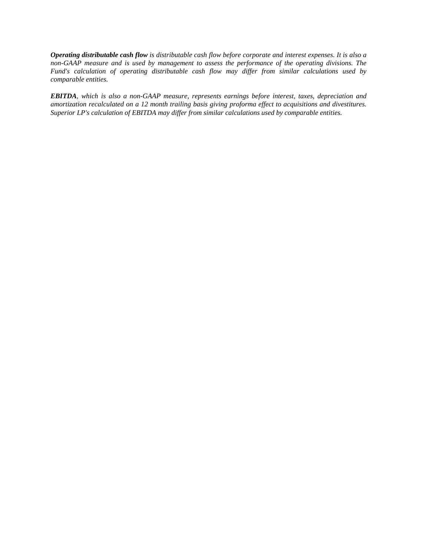*Operating distributable cash flow is distributable cash flow before corporate and interest expenses. It is also a non-GAAP measure and is used by management to assess the performance of the operating divisions. The Fund's calculation of operating distributable cash flow may differ from similar calculations used by comparable entities.* 

*EBITDA, which is also a non-GAAP measure, represents earnings before interest, taxes, depreciation and amortization recalculated on a 12 month trailing basis giving proforma effect to acquisitions and divestitures. Superior LP's calculation of EBITDA may differ from similar calculations used by comparable entities.*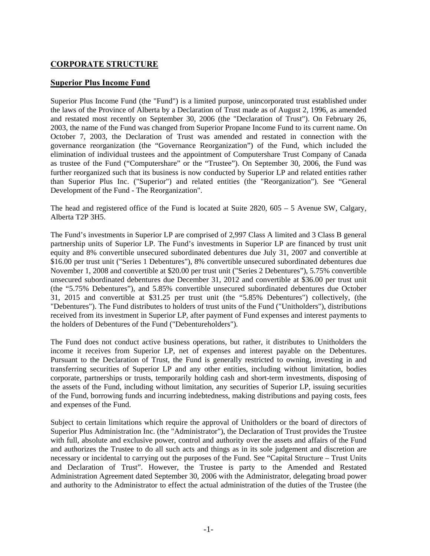# <span id="page-5-0"></span>**CORPORATE STRUCTURE**

### **Superior Plus Income Fund**

Superior Plus Income Fund (the "Fund") is a limited purpose, unincorporated trust established under the laws of the Province of Alberta by a Declaration of Trust made as of August 2, 1996, as amended and restated most recently on September 30, 2006 (the "Declaration of Trust"). On February 26, 2003, the name of the Fund was changed from Superior Propane Income Fund to its current name. On October 7, 2003, the Declaration of Trust was amended and restated in connection with the governance reorganization (the "Governance Reorganization") of the Fund, which included the elimination of individual trustees and the appointment of Computershare Trust Company of Canada as trustee of the Fund ("Computershare" or the "Trustee"). On September 30, 2006, the Fund was further reorganized such that its business is now conducted by Superior LP and related entities rather than Superior Plus Inc. ("Superior") and related entities (the "Reorganization"). See "General Development of the Fund - The Reorganization".

The head and registered office of the Fund is located at Suite 2820, 605 – 5 Avenue SW, Calgary, Alberta T2P 3H5.

The Fund's investments in Superior LP are comprised of 2,997 Class A limited and 3 Class B general partnership units of Superior LP. The Fund's investments in Superior LP are financed by trust unit equity and 8% convertible unsecured subordinated debentures due July 31, 2007 and convertible at \$16.00 per trust unit ("Series 1 Debentures"), 8% convertible unsecured subordinated debentures due November 1, 2008 and convertible at \$20.00 per trust unit ("Series 2 Debentures"), 5.75% convertible unsecured subordinated debentures due December 31, 2012 and convertible at \$36.00 per trust unit (the "5.75% Debentures"), and 5.85% convertible unsecured subordinated debentures due October 31, 2015 and convertible at \$31.25 per trust unit (the "5.85% Debentures") collectively, (the "Debentures"). The Fund distributes to holders of trust units of the Fund ("Unitholders"), distributions received from its investment in Superior LP, after payment of Fund expenses and interest payments to the holders of Debentures of the Fund ("Debentureholders").

The Fund does not conduct active business operations, but rather, it distributes to Unitholders the income it receives from Superior LP, net of expenses and interest payable on the Debentures. Pursuant to the Declaration of Trust, the Fund is generally restricted to owning, investing in and transferring securities of Superior LP and any other entities, including without limitation, bodies corporate, partnerships or trusts, temporarily holding cash and short-term investments, disposing of the assets of the Fund, including without limitation, any securities of Superior LP, issuing securities of the Fund, borrowing funds and incurring indebtedness, making distributions and paying costs, fees and expenses of the Fund.

Subject to certain limitations which require the approval of Unitholders or the board of directors of Superior Plus Administration Inc. (the "Administrator"), the Declaration of Trust provides the Trustee with full, absolute and exclusive power, control and authority over the assets and affairs of the Fund and authorizes the Trustee to do all such acts and things as in its sole judgement and discretion are necessary or incidental to carrying out the purposes of the Fund. See "Capital Structure – Trust Units and Declaration of Trust". However, the Trustee is party to the Amended and Restated Administration Agreement dated September 30, 2006 with the Administrator, delegating broad power and authority to the Administrator to effect the actual administration of the duties of the Trustee (the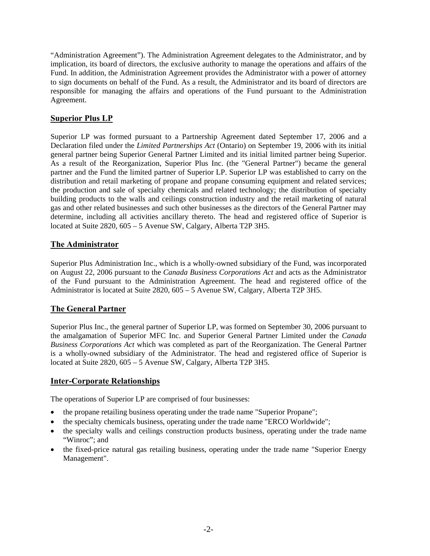<span id="page-6-0"></span>"Administration Agreement"). The Administration Agreement delegates to the Administrator, and by implication, its board of directors, the exclusive authority to manage the operations and affairs of the Fund. In addition, the Administration Agreement provides the Administrator with a power of attorney to sign documents on behalf of the Fund. As a result, the Administrator and its board of directors are responsible for managing the affairs and operations of the Fund pursuant to the Administration Agreement.

# **Superior Plus LP**

Superior LP was formed pursuant to a Partnership Agreement dated September 17, 2006 and a Declaration filed under the *Limited Partnerships Act* (Ontario) on September 19, 2006 with its initial general partner being Superior General Partner Limited and its initial limited partner being Superior. As a result of the Reorganization, Superior Plus Inc. (the "General Partner") became the general partner and the Fund the limited partner of Superior LP. Superior LP was established to carry on the distribution and retail marketing of propane and propane consuming equipment and related services; the production and sale of specialty chemicals and related technology; the distribution of specialty building products to the walls and ceilings construction industry and the retail marketing of natural gas and other related businesses and such other businesses as the directors of the General Partner may determine, including all activities ancillary thereto. The head and registered office of Superior is located at Suite 2820, 605 – 5 Avenue SW, Calgary, Alberta T2P 3H5.

### **The Administrator**

Superior Plus Administration Inc., which is a wholly-owned subsidiary of the Fund, was incorporated on August 22, 2006 pursuant to the *Canada Business Corporations Act* and acts as the Administrator of the Fund pursuant to the Administration Agreement. The head and registered office of the Administrator is located at Suite 2820, 605 – 5 Avenue SW, Calgary, Alberta T2P 3H5.

# **The General Partner**

Superior Plus Inc., the general partner of Superior LP, was formed on September 30, 2006 pursuant to the amalgamation of Superior MFC Inc. and Superior General Partner Limited under the *Canada Business Corporations Act* which was completed as part of the Reorganization. The General Partner is a wholly-owned subsidiary of the Administrator. The head and registered office of Superior is located at Suite 2820, 605 – 5 Avenue SW, Calgary, Alberta T2P 3H5.

### **Inter-Corporate Relationships**

The operations of Superior LP are comprised of four businesses:

- the propane retailing business operating under the trade name "Superior Propane";
- the specialty chemicals business, operating under the trade name "ERCO Worldwide";
- the specialty walls and ceilings construction products business, operating under the trade name "Winroc"; and
- the fixed-price natural gas retailing business, operating under the trade name "Superior Energy" Management".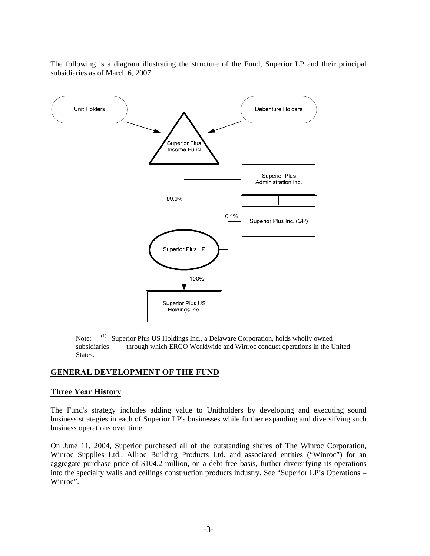<span id="page-7-0"></span>The following is a diagram illustrating the structure of the Fund, Superior LP and their principal subsidiaries as of March 6, 2007.



Note: (1) Superior Plus US Holdings Inc., a Delaware Corporation, holds wholly owned subsidiaries through which ERCO Worldwide and Winroc conduct operations in the United States.

### **GENERAL DEVELOPMENT OF THE FUND**

### **Three Year History**

The Fund's strategy includes adding value to Unitholders by developing and executing sound business strategies in each of Superior LP's businesses while further expanding and diversifying such business operations over time.

On June 11, 2004, Superior purchased all of the outstanding shares of The Winroc Corporation, Winroc Supplies Ltd., Allroc Building Products Ltd. and associated entities ("Winroc") for an aggregate purchase price of \$104.2 million, on a debt free basis, further diversifying its operations into the specialty walls and ceilings construction products industry. See "Superior LP's Operations – Winroc".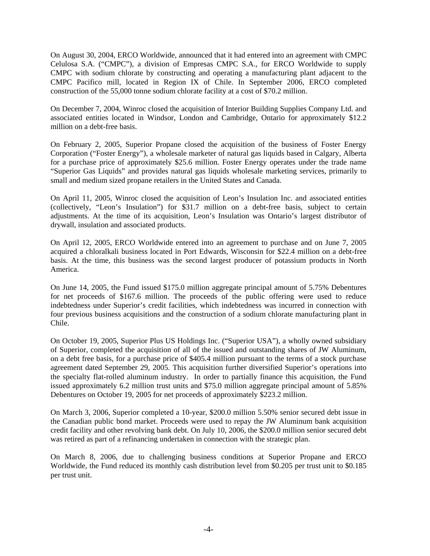On August 30, 2004, ERCO Worldwide, announced that it had entered into an agreement with CMPC Celulosa S.A. ("CMPC"), a division of Empresas CMPC S.A., for ERCO Worldwide to supply CMPC with sodium chlorate by constructing and operating a manufacturing plant adjacent to the CMPC Pacifico mill, located in Region IX of Chile. In September 2006, ERCO completed construction of the 55,000 tonne sodium chlorate facility at a cost of \$70.2 million.

On December 7, 2004, Winroc closed the acquisition of Interior Building Supplies Company Ltd. and associated entities located in Windsor, London and Cambridge, Ontario for approximately \$12.2 million on a debt-free basis.

On February 2, 2005, Superior Propane closed the acquisition of the business of Foster Energy Corporation ("Foster Energy"), a wholesale marketer of natural gas liquids based in Calgary, Alberta for a purchase price of approximately \$25.6 million. Foster Energy operates under the trade name "Superior Gas Liquids" and provides natural gas liquids wholesale marketing services, primarily to small and medium sized propane retailers in the United States and Canada.

On April 11, 2005, Winroc closed the acquisition of Leon's Insulation Inc. and associated entities (collectively, "Leon's Insulation") for \$31.7 million on a debt-free basis, subject to certain adjustments. At the time of its acquisition, Leon's Insulation was Ontario's largest distributor of drywall, insulation and associated products.

On April 12, 2005, ERCO Worldwide entered into an agreement to purchase and on June 7, 2005 acquired a chloralkali business located in Port Edwards, Wisconsin for \$22.4 million on a debt-free basis. At the time, this business was the second largest producer of potassium products in North America.

On June 14, 2005, the Fund issued \$175.0 million aggregate principal amount of 5.75% Debentures for net proceeds of \$167.6 million. The proceeds of the public offering were used to reduce indebtedness under Superior's credit facilities, which indebtedness was incurred in connection with four previous business acquisitions and the construction of a sodium chlorate manufacturing plant in Chile.

On October 19, 2005, Superior Plus US Holdings Inc. ("Superior USA"), a wholly owned subsidiary of Superior, completed the acquisition of all of the issued and outstanding shares of JW Aluminum, on a debt free basis, for a purchase price of \$405.4 million pursuant to the terms of a stock purchase agreement dated September 29, 2005. This acquisition further diversified Superior's operations into the specialty flat-rolled aluminum industry. In order to partially finance this acquisition, the Fund issued approximately 6.2 million trust units and \$75.0 million aggregate principal amount of 5.85% Debentures on October 19, 2005 for net proceeds of approximately \$223.2 million.

On March 3, 2006, Superior completed a 10-year, \$200.0 million 5.50% senior secured debt issue in the Canadian public bond market. Proceeds were used to repay the JW Aluminum bank acquisition credit facility and other revolving bank debt. On July 10, 2006, the \$200.0 million senior secured debt was retired as part of a refinancing undertaken in connection with the strategic plan.

On March 8, 2006, due to challenging business conditions at Superior Propane and ERCO Worldwide, the Fund reduced its monthly cash distribution level from \$0.205 per trust unit to \$0.185 per trust unit.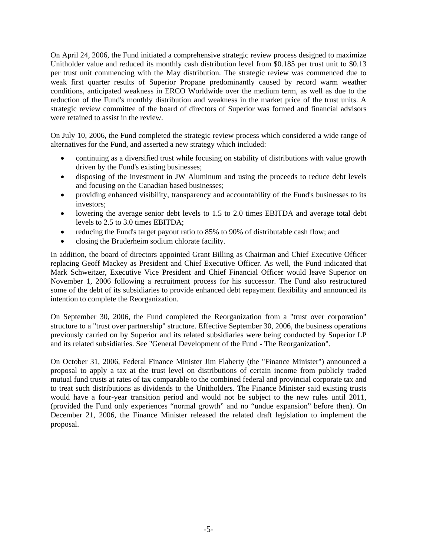On April 24, 2006, the Fund initiated a comprehensive strategic review process designed to maximize Unitholder value and reduced its monthly cash distribution level from \$0.185 per trust unit to \$0.13 per trust unit commencing with the May distribution. The strategic review was commenced due to weak first quarter results of Superior Propane predominantly caused by record warm weather conditions, anticipated weakness in ERCO Worldwide over the medium term, as well as due to the reduction of the Fund's monthly distribution and weakness in the market price of the trust units. A strategic review committee of the board of directors of Superior was formed and financial advisors were retained to assist in the review.

On July 10, 2006, the Fund completed the strategic review process which considered a wide range of alternatives for the Fund, and asserted a new strategy which included:

- continuing as a diversified trust while focusing on stability of distributions with value growth driven by the Fund's existing businesses;
- disposing of the investment in JW Aluminum and using the proceeds to reduce debt levels and focusing on the Canadian based businesses;
- providing enhanced visibility, transparency and accountability of the Fund's businesses to its investors;
- lowering the average senior debt levels to 1.5 to 2.0 times EBITDA and average total debt levels to 2.5 to 3.0 times EBITDA;
- reducing the Fund's target payout ratio to 85% to 90% of distributable cash flow; and
- closing the Bruderheim sodium chlorate facility.

In addition, the board of directors appointed Grant Billing as Chairman and Chief Executive Officer replacing Geoff Mackey as President and Chief Executive Officer. As well, the Fund indicated that Mark Schweitzer, Executive Vice President and Chief Financial Officer would leave Superior on November 1, 2006 following a recruitment process for his successor. The Fund also restructured some of the debt of its subsidiaries to provide enhanced debt repayment flexibility and announced its intention to complete the Reorganization.

On September 30, 2006, the Fund completed the Reorganization from a "trust over corporation" structure to a "trust over partnership" structure. Effective September 30, 2006, the business operations previously carried on by Superior and its related subsidiaries were being conducted by Superior LP and its related subsidiaries. See "General Development of the Fund - The Reorganization".

On October 31, 2006, Federal Finance Minister Jim Flaherty (the "Finance Minister") announced a proposal to apply a tax at the trust level on distributions of certain income from publicly traded mutual fund trusts at rates of tax comparable to the combined federal and provincial corporate tax and to treat such distributions as dividends to the Unitholders. The Finance Minister said existing trusts would have a four-year transition period and would not be subject to the new rules until 2011, (provided the Fund only experiences "normal growth" and no "undue expansion" before then). On December 21, 2006, the Finance Minister released the related draft legislation to implement the proposal.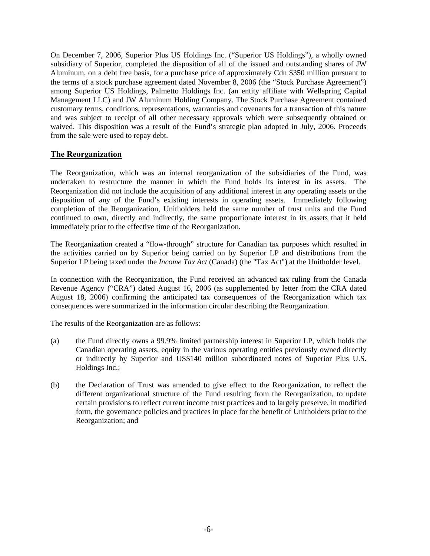<span id="page-10-0"></span>On December 7, 2006, Superior Plus US Holdings Inc. ("Superior US Holdings"), a wholly owned subsidiary of Superior, completed the disposition of all of the issued and outstanding shares of JW Aluminum, on a debt free basis, for a purchase price of approximately Cdn \$350 million pursuant to the terms of a stock purchase agreement dated November 8, 2006 (the "Stock Purchase Agreement") among Superior US Holdings, Palmetto Holdings Inc. (an entity affiliate with Wellspring Capital Management LLC) and JW Aluminum Holding Company. The Stock Purchase Agreement contained customary terms, conditions, representations, warranties and covenants for a transaction of this nature and was subject to receipt of all other necessary approvals which were subsequently obtained or waived. This disposition was a result of the Fund's strategic plan adopted in July, 2006. Proceeds from the sale were used to repay debt.

### **The Reorganization**

The Reorganization, which was an internal reorganization of the subsidiaries of the Fund, was undertaken to restructure the manner in which the Fund holds its interest in its assets. The Reorganization did not include the acquisition of any additional interest in any operating assets or the disposition of any of the Fund's existing interests in operating assets. Immediately following completion of the Reorganization, Unitholders held the same number of trust units and the Fund continued to own, directly and indirectly, the same proportionate interest in its assets that it held immediately prior to the effective time of the Reorganization.

The Reorganization created a "flow-through" structure for Canadian tax purposes which resulted in the activities carried on by Superior being carried on by Superior LP and distributions from the Superior LP being taxed under the *Income Tax Act* (Canada) (the "Tax Act") at the Unitholder level.

In connection with the Reorganization, the Fund received an advanced tax ruling from the Canada Revenue Agency ("CRA") dated August 16, 2006 (as supplemented by letter from the CRA dated August 18, 2006) confirming the anticipated tax consequences of the Reorganization which tax consequences were summarized in the information circular describing the Reorganization.

The results of the Reorganization are as follows:

- (a) the Fund directly owns a 99.9% limited partnership interest in Superior LP, which holds the Canadian operating assets, equity in the various operating entities previously owned directly or indirectly by Superior and US\$140 million subordinated notes of Superior Plus U.S. Holdings Inc.;
- (b) the Declaration of Trust was amended to give effect to the Reorganization, to reflect the different organizational structure of the Fund resulting from the Reorganization, to update certain provisions to reflect current income trust practices and to largely preserve, in modified form, the governance policies and practices in place for the benefit of Unitholders prior to the Reorganization; and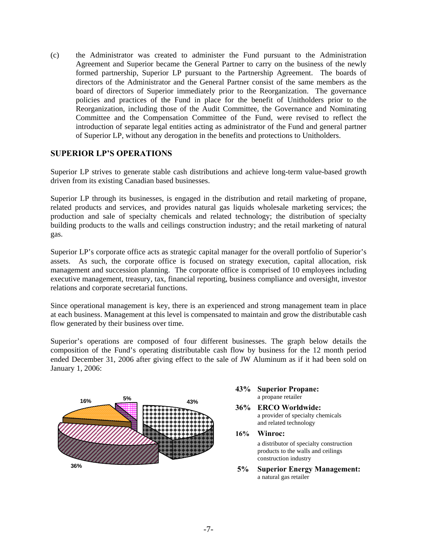<span id="page-11-0"></span>(c) the Administrator was created to administer the Fund pursuant to the Administration Agreement and Superior became the General Partner to carry on the business of the newly formed partnership, Superior LP pursuant to the Partnership Agreement. The boards of directors of the Administrator and the General Partner consist of the same members as the board of directors of Superior immediately prior to the Reorganization. The governance policies and practices of the Fund in place for the benefit of Unitholders prior to the Reorganization, including those of the Audit Committee, the Governance and Nominating Committee and the Compensation Committee of the Fund, were revised to reflect the introduction of separate legal entities acting as administrator of the Fund and general partner of Superior LP, without any derogation in the benefits and protections to Unitholders.

### **SUPERIOR LP'S OPERATIONS**

Superior LP strives to generate stable cash distributions and achieve long-term value-based growth driven from its existing Canadian based businesses.

Superior LP through its businesses, is engaged in the distribution and retail marketing of propane, related products and services, and provides natural gas liquids wholesale marketing services; the production and sale of specialty chemicals and related technology; the distribution of specialty building products to the walls and ceilings construction industry; and the retail marketing of natural gas.

Superior LP's corporate office acts as strategic capital manager for the overall portfolio of Superior's assets. As such, the corporate office is focused on strategy execution, capital allocation, risk management and succession planning. The corporate office is comprised of 10 employees including executive management, treasury, tax, financial reporting, business compliance and oversight, investor relations and corporate secretarial functions.

Since operational management is key, there is an experienced and strong management team in place at each business. Management at this level is compensated to maintain and grow the distributable cash flow generated by their business over time.

Superior's operations are composed of four different businesses. The graph below details the composition of the Fund's operating distributable cash flow by business for the 12 month period ended December 31, 2006 after giving effect to the sale of JW Aluminum as if it had been sold on January 1, 2006:



#### **43% Superior Propane:** a propane retailer

# **36% ERCO Worldwide:** a provider of specialty chemicals

and related technology

#### **16% Winroc:**

a distributor of specialty construction products to the walls and ceilings construction industry

 **5% Superior Energy Management:**  a natural gas retailer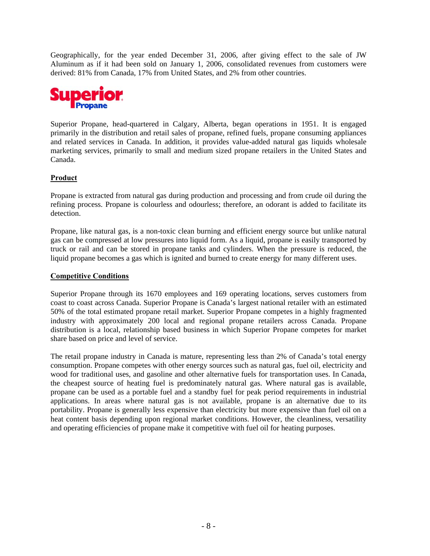<span id="page-12-0"></span>Geographically, for the year ended December 31, 2006, after giving effect to the sale of JW Aluminum as if it had been sold on January 1, 2006, consolidated revenues from customers were derived: 81% from Canada, 17% from United States, and 2% from other countries.



Superior Propane, head-quartered in Calgary, Alberta, began operations in 1951. It is engaged primarily in the distribution and retail sales of propane, refined fuels, propane consuming appliances and related services in Canada. In addition, it provides value-added natural gas liquids wholesale marketing services, primarily to small and medium sized propane retailers in the United States and Canada.

### **Product**

Propane is extracted from natural gas during production and processing and from crude oil during the refining process. Propane is colourless and odourless; therefore, an odorant is added to facilitate its detection.

Propane, like natural gas, is a non-toxic clean burning and efficient energy source but unlike natural gas can be compressed at low pressures into liquid form. As a liquid, propane is easily transported by truck or rail and can be stored in propane tanks and cylinders. When the pressure is reduced, the liquid propane becomes a gas which is ignited and burned to create energy for many different uses.

### **Competitive Conditions**

Superior Propane through its 1670 employees and 169 operating locations, serves customers from coast to coast across Canada. Superior Propane is Canada's largest national retailer with an estimated 50% of the total estimated propane retail market. Superior Propane competes in a highly fragmented industry with approximately 200 local and regional propane retailers across Canada. Propane distribution is a local, relationship based business in which Superior Propane competes for market share based on price and level of service.

The retail propane industry in Canada is mature, representing less than 2% of Canada's total energy consumption. Propane competes with other energy sources such as natural gas, fuel oil, electricity and wood for traditional uses, and gasoline and other alternative fuels for transportation uses. In Canada, the cheapest source of heating fuel is predominately natural gas. Where natural gas is available, propane can be used as a portable fuel and a standby fuel for peak period requirements in industrial applications. In areas where natural gas is not available, propane is an alternative due to its portability. Propane is generally less expensive than electricity but more expensive than fuel oil on a heat content basis depending upon regional market conditions. However, the cleanliness, versatility and operating efficiencies of propane make it competitive with fuel oil for heating purposes.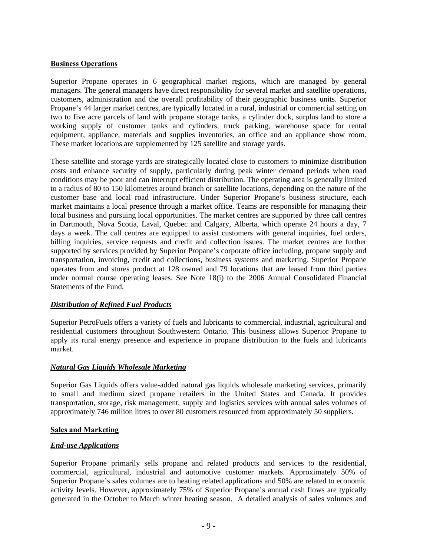### <span id="page-13-0"></span>**Business Operations**

Superior Propane operates in 6 geographical market regions, which are managed by general managers. The general managers have direct responsibility for several market and satellite operations, customers, administration and the overall profitability of their geographic business units. Superior Propane's 44 larger market centres, are typically located in a rural, industrial or commercial setting on two to five acre parcels of land with propane storage tanks, a cylinder dock, surplus land to store a working supply of customer tanks and cylinders, truck parking, warehouse space for rental equipment, appliance, materials and supplies inventories, an office and an appliance show room. These market locations are supplemented by 125 satellite and storage yards.

These satellite and storage yards are strategically located close to customers to minimize distribution costs and enhance security of supply, particularly during peak winter demand periods when road conditions may be poor and can interrupt efficient distribution. The operating area is generally limited to a radius of 80 to 150 kilometres around branch or satellite locations, depending on the nature of the customer base and local road infrastructure. Under Superior Propane's business structure, each market maintains a local presence through a market office. Teams are responsible for managing their local business and pursuing local opportunities. The market centres are supported by three call centres in Dartmouth, Nova Scotia, Laval, Quebec and Calgary, Alberta, which operate 24 hours a day, 7 days a week. The call centres are equipped to assist customers with general inquiries, fuel orders, billing inquiries, service requests and credit and collection issues. The market centres are further supported by services provided by Superior Propane's corporate office including, propane supply and transportation, invoicing, credit and collections, business systems and marketing. Superior Propane operates from and stores product at 128 owned and 79 locations that are leased from third parties under normal course operating leases. See Note 18(i) to the 2006 Annual Consolidated Financial Statements of the Fund.

### *Distribution of Refined Fuel Products*

Superior PetroFuels offers a variety of fuels and lubricants to commercial, industrial, agricultural and residential customers throughout Southwestern Ontario. This business allows Superior Propane to apply its rural energy presence and experience in propane distribution to the fuels and lubricants market.

### *Natural Gas Liquids Wholesale Marketing*

Superior Gas Liquids offers value-added natural gas liquids wholesale marketing services, primarily to small and medium sized propane retailers in the United States and Canada. It provides transportation, storage, risk management, supply and logistics services with annual sales volumes of approximately 746 million litres to over 80 customers resourced from approximately 50 suppliers.

### **Sales and Marketing**

### *End-use Applications*

Superior Propane primarily sells propane and related products and services to the residential, commercial, agricultural, industrial and automotive customer markets. Approximately 50% of Superior Propane's sales volumes are to heating related applications and 50% are related to economic activity levels. However, approximately 75% of Superior Propane's annual cash flows are typically generated in the October to March winter heating season. A detailed analysis of sales volumes and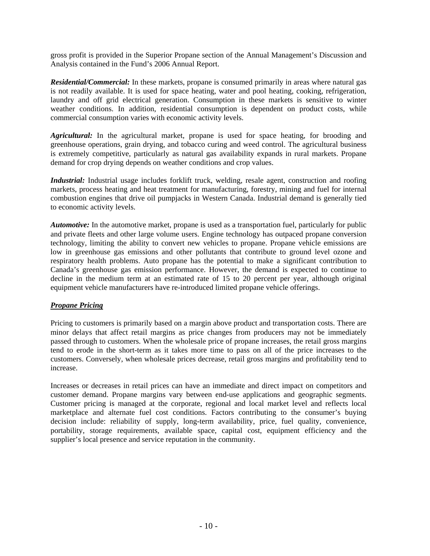<span id="page-14-0"></span>gross profit is provided in the Superior Propane section of the Annual Management's Discussion and Analysis contained in the Fund's 2006 Annual Report.

*Residential/Commercial:* In these markets, propane is consumed primarily in areas where natural gas is not readily available. It is used for space heating, water and pool heating, cooking, refrigeration, laundry and off grid electrical generation. Consumption in these markets is sensitive to winter weather conditions. In addition, residential consumption is dependent on product costs, while commercial consumption varies with economic activity levels.

*Agricultural:* In the agricultural market, propane is used for space heating, for brooding and greenhouse operations, grain drying, and tobacco curing and weed control. The agricultural business is extremely competitive, particularly as natural gas availability expands in rural markets. Propane demand for crop drying depends on weather conditions and crop values.

*Industrial:* Industrial usage includes forklift truck, welding, resale agent, construction and roofing markets, process heating and heat treatment for manufacturing, forestry, mining and fuel for internal combustion engines that drive oil pumpjacks in Western Canada. Industrial demand is generally tied to economic activity levels.

*Automotive:* In the automotive market, propane is used as a transportation fuel, particularly for public and private fleets and other large volume users. Engine technology has outpaced propane conversion technology, limiting the ability to convert new vehicles to propane. Propane vehicle emissions are low in greenhouse gas emissions and other pollutants that contribute to ground level ozone and respiratory health problems. Auto propane has the potential to make a significant contribution to Canada's greenhouse gas emission performance. However, the demand is expected to continue to decline in the medium term at an estimated rate of 15 to 20 percent per year, although original equipment vehicle manufacturers have re-introduced limited propane vehicle offerings.

### *Propane Pricing*

Pricing to customers is primarily based on a margin above product and transportation costs. There are minor delays that affect retail margins as price changes from producers may not be immediately passed through to customers. When the wholesale price of propane increases, the retail gross margins tend to erode in the short-term as it takes more time to pass on all of the price increases to the customers. Conversely, when wholesale prices decrease, retail gross margins and profitability tend to increase.

Increases or decreases in retail prices can have an immediate and direct impact on competitors and customer demand. Propane margins vary between end-use applications and geographic segments. Customer pricing is managed at the corporate, regional and local market level and reflects local marketplace and alternate fuel cost conditions. Factors contributing to the consumer's buying decision include: reliability of supply, long-term availability, price, fuel quality, convenience, portability, storage requirements, available space, capital cost, equipment efficiency and the supplier's local presence and service reputation in the community.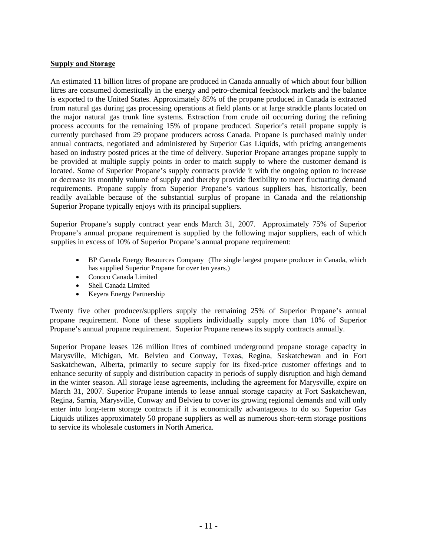### <span id="page-15-0"></span>**Supply and Storage**

An estimated 11 billion litres of propane are produced in Canada annually of which about four billion litres are consumed domestically in the energy and petro-chemical feedstock markets and the balance is exported to the United States. Approximately 85% of the propane produced in Canada is extracted from natural gas during gas processing operations at field plants or at large straddle plants located on the major natural gas trunk line systems. Extraction from crude oil occurring during the refining process accounts for the remaining 15% of propane produced. Superior's retail propane supply is currently purchased from 29 propane producers across Canada. Propane is purchased mainly under annual contracts, negotiated and administered by Superior Gas Liquids, with pricing arrangements based on industry posted prices at the time of delivery. Superior Propane arranges propane supply to be provided at multiple supply points in order to match supply to where the customer demand is located. Some of Superior Propane's supply contracts provide it with the ongoing option to increase or decrease its monthly volume of supply and thereby provide flexibility to meet fluctuating demand requirements. Propane supply from Superior Propane's various suppliers has, historically, been readily available because of the substantial surplus of propane in Canada and the relationship Superior Propane typically enjoys with its principal suppliers.

Superior Propane's supply contract year ends March 31, 2007. Approximately 75% of Superior Propane's annual propane requirement is supplied by the following major suppliers, each of which supplies in excess of 10% of Superior Propane's annual propane requirement:

- BP Canada Energy Resources Company (The single largest propane producer in Canada, which has supplied Superior Propane for over ten years.)
- Conoco Canada Limited
- Shell Canada Limited
- Keyera Energy Partnership

Twenty five other producer/suppliers supply the remaining 25% of Superior Propane's annual propane requirement. None of these suppliers individually supply more than 10% of Superior Propane's annual propane requirement. Superior Propane renews its supply contracts annually.

Superior Propane leases 126 million litres of combined underground propane storage capacity in Marysville, Michigan, Mt. Belvieu and Conway, Texas, Regina, Saskatchewan and in Fort Saskatchewan, Alberta, primarily to secure supply for its fixed-price customer offerings and to enhance security of supply and distribution capacity in periods of supply disruption and high demand in the winter season. All storage lease agreements, including the agreement for Marysville, expire on March 31, 2007. Superior Propane intends to lease annual storage capacity at Fort Saskatchewan, Regina, Sarnia, Marysville, Conway and Belvieu to cover its growing regional demands and will only enter into long-term storage contracts if it is economically advantageous to do so. Superior Gas Liquids utilizes approximately 50 propane suppliers as well as numerous short-term storage positions to service its wholesale customers in North America.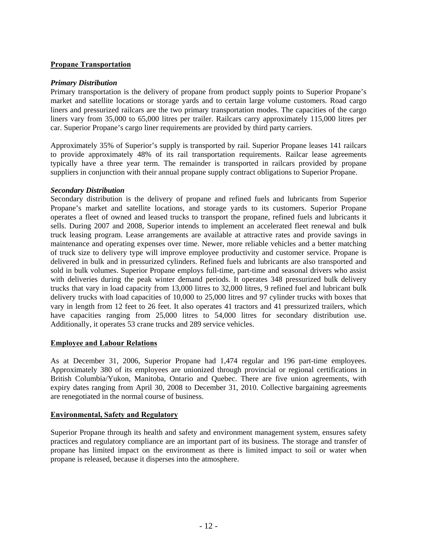### <span id="page-16-0"></span>**Propane Transportation**

### *Primary Distribution*

Primary transportation is the delivery of propane from product supply points to Superior Propane's market and satellite locations or storage yards and to certain large volume customers. Road cargo liners and pressurized railcars are the two primary transportation modes. The capacities of the cargo liners vary from 35,000 to 65,000 litres per trailer. Railcars carry approximately 115,000 litres per car. Superior Propane's cargo liner requirements are provided by third party carriers.

Approximately 35% of Superior's supply is transported by rail. Superior Propane leases 141 railcars to provide approximately 48% of its rail transportation requirements. Railcar lease agreements typically have a three year term. The remainder is transported in railcars provided by propane suppliers in conjunction with their annual propane supply contract obligations to Superior Propane.

#### *Secondary Distribution*

Secondary distribution is the delivery of propane and refined fuels and lubricants from Superior Propane's market and satellite locations, and storage yards to its customers. Superior Propane operates a fleet of owned and leased trucks to transport the propane, refined fuels and lubricants it sells. During 2007 and 2008, Superior intends to implement an accelerated fleet renewal and bulk truck leasing program. Lease arrangements are available at attractive rates and provide savings in maintenance and operating expenses over time. Newer, more reliable vehicles and a better matching of truck size to delivery type will improve employee productivity and customer service. Propane is delivered in bulk and in pressurized cylinders. Refined fuels and lubricants are also transported and sold in bulk volumes. Superior Propane employs full-time, part-time and seasonal drivers who assist with deliveries during the peak winter demand periods. It operates 348 pressurized bulk delivery trucks that vary in load capacity from 13,000 litres to 32,000 litres, 9 refined fuel and lubricant bulk delivery trucks with load capacities of 10,000 to 25,000 litres and 97 cylinder trucks with boxes that vary in length from 12 feet to 26 feet. It also operates 41 tractors and 41 pressurized trailers, which have capacities ranging from 25,000 litres to 54,000 litres for secondary distribution use. Additionally, it operates 53 crane trucks and 289 service vehicles.

#### **Employee and Labour Relations**

As at December 31, 2006, Superior Propane had 1,474 regular and 196 part-time employees. Approximately 380 of its employees are unionized through provincial or regional certifications in British Columbia/Yukon, Manitoba, Ontario and Quebec. There are five union agreements, with expiry dates ranging from April 30, 2008 to December 31, 2010. Collective bargaining agreements are renegotiated in the normal course of business.

### **Environmental, Safety and Regulatory**

Superior Propane through its health and safety and environment management system, ensures safety practices and regulatory compliance are an important part of its business. The storage and transfer of propane has limited impact on the environment as there is limited impact to soil or water when propane is released, because it disperses into the atmosphere.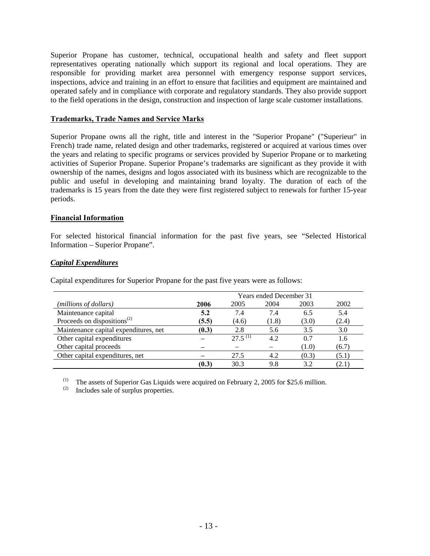<span id="page-17-0"></span>Superior Propane has customer, technical, occupational health and safety and fleet support representatives operating nationally which support its regional and local operations. They are responsible for providing market area personnel with emergency response support services, inspections, advice and training in an effort to ensure that facilities and equipment are maintained and operated safely and in compliance with corporate and regulatory standards. They also provide support to the field operations in the design, construction and inspection of large scale customer installations.

#### **Trademarks, Trade Names and Service Marks**

Superior Propane owns all the right, title and interest in the "Superior Propane" ("Superieur" in French) trade name, related design and other trademarks, registered or acquired at various times over the years and relating to specific programs or services provided by Superior Propane or to marketing activities of Superior Propane. Superior Propane's trademarks are significant as they provide it with ownership of the names, designs and logos associated with its business which are recognizable to the public and useful in developing and maintaining brand loyalty. The duration of each of the trademarks is 15 years from the date they were first registered subject to renewals for further 15-year periods.

### **Financial Information**

For selected historical financial information for the past five years, see "Selected Historical Information – Superior Propane".

#### *Capital Expenditures*

Capital expenditures for Superior Propane for the past five years were as follows:

|                                         | <b>Years ended December 31</b> |                       |       |       |       |  |  |  |
|-----------------------------------------|--------------------------------|-----------------------|-------|-------|-------|--|--|--|
| (millions of dollars)                   | 2006                           | 2005                  | 2004  | 2003  | 2002  |  |  |  |
| Maintenance capital                     | 5.2                            | 7.4                   | 7.4   | 6.5   | 5.4   |  |  |  |
| Proceeds on dispositions <sup>(2)</sup> | (5.5)                          | (4.6)                 | (1.8) | (3.0) | (2.4) |  |  |  |
| Maintenance capital expenditures, net   | (0.3)                          | 2.8                   | 5.6   | 3.5   | 3.0   |  |  |  |
| Other capital expenditures              |                                | $27.5$ <sup>(1)</sup> | 4.2   | 0.7   | 1.6   |  |  |  |
| Other capital proceeds                  |                                |                       |       | (1.0) | (6.7) |  |  |  |
| Other capital expenditures, net         |                                | 27.5                  | 4.2   | (0.3) | (5.1) |  |  |  |
|                                         | (0.3)                          | 30.3                  | 9.8   | 32    | (2.1) |  |  |  |

(1) The assets of Superior Gas Liquids were acquired on February 2, 2005 for \$25.6 million.<br>(2) Includes sale of surplus properties

Includes sale of surplus properties.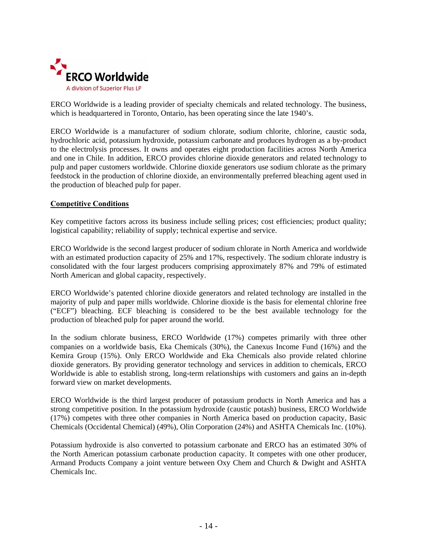<span id="page-18-0"></span>

ERCO Worldwide is a leading provider of specialty chemicals and related technology. The business, which is headquartered in Toronto, Ontario, has been operating since the late 1940's.

ERCO Worldwide is a manufacturer of sodium chlorate, sodium chlorite, chlorine, caustic soda, hydrochloric acid, potassium hydroxide, potassium carbonate and produces hydrogen as a by-product to the electrolysis processes. It owns and operates eight production facilities across North America and one in Chile. In addition, ERCO provides chlorine dioxide generators and related technology to pulp and paper customers worldwide. Chlorine dioxide generators use sodium chlorate as the primary feedstock in the production of chlorine dioxide, an environmentally preferred bleaching agent used in the production of bleached pulp for paper.

#### **Competitive Conditions**

Key competitive factors across its business include selling prices; cost efficiencies; product quality; logistical capability; reliability of supply; technical expertise and service.

ERCO Worldwide is the second largest producer of sodium chlorate in North America and worldwide with an estimated production capacity of 25% and 17%, respectively. The sodium chlorate industry is consolidated with the four largest producers comprising approximately 87% and 79% of estimated North American and global capacity, respectively.

ERCO Worldwide's patented chlorine dioxide generators and related technology are installed in the majority of pulp and paper mills worldwide. Chlorine dioxide is the basis for elemental chlorine free ("ECF") bleaching. ECF bleaching is considered to be the best available technology for the production of bleached pulp for paper around the world.

In the sodium chlorate business, ERCO Worldwide (17%) competes primarily with three other companies on a worldwide basis, Eka Chemicals (30%), the Canexus Income Fund (16%) and the Kemira Group (15%). Only ERCO Worldwide and Eka Chemicals also provide related chlorine dioxide generators. By providing generator technology and services in addition to chemicals, ERCO Worldwide is able to establish strong, long-term relationships with customers and gains an in-depth forward view on market developments.

ERCO Worldwide is the third largest producer of potassium products in North America and has a strong competitive position. In the potassium hydroxide (caustic potash) business, ERCO Worldwide (17%) competes with three other companies in North America based on production capacity, Basic Chemicals (Occidental Chemical) (49%), Olin Corporation (24%) and ASHTA Chemicals Inc. (10%).

Potassium hydroxide is also converted to potassium carbonate and ERCO has an estimated 30% of the North American potassium carbonate production capacity. It competes with one other producer, Armand Products Company a joint venture between Oxy Chem and Church & Dwight and ASHTA Chemicals Inc.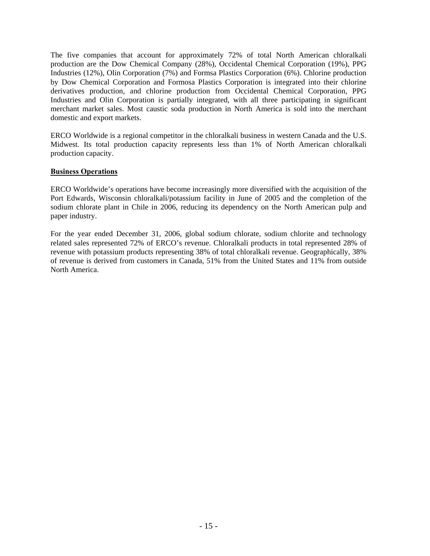<span id="page-19-0"></span>The five companies that account for approximately 72% of total North American chloralkali production are the Dow Chemical Company (28%), Occidental Chemical Corporation (19%), PPG Industries (12%), Olin Corporation (7%) and Formsa Plastics Corporation (6%). Chlorine production by Dow Chemical Corporation and Formosa Plastics Corporation is integrated into their chlorine derivatives production, and chlorine production from Occidental Chemical Corporation, PPG Industries and Olin Corporation is partially integrated, with all three participating in significant merchant market sales. Most caustic soda production in North America is sold into the merchant domestic and export markets.

ERCO Worldwide is a regional competitor in the chloralkali business in western Canada and the U.S. Midwest. Its total production capacity represents less than 1% of North American chloralkali production capacity.

### **Business Operations**

ERCO Worldwide's operations have become increasingly more diversified with the acquisition of the Port Edwards, Wisconsin chloralkali/potassium facility in June of 2005 and the completion of the sodium chlorate plant in Chile in 2006, reducing its dependency on the North American pulp and paper industry.

For the year ended December 31, 2006, global sodium chlorate, sodium chlorite and technology related sales represented 72% of ERCO's revenue. Chloralkali products in total represented 28% of revenue with potassium products representing 38% of total chloralkali revenue. Geographically, 38% of revenue is derived from customers in Canada, 51% from the United States and 11% from outside North America.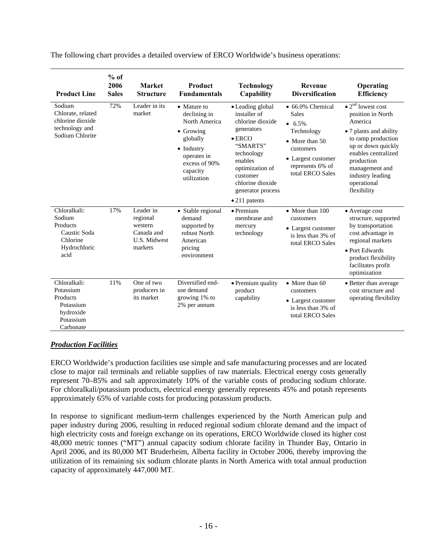| <b>Product Line</b>                                                                       | $%$ of<br>2006<br><b>Sales</b> | <b>Market</b><br><b>Structure</b>                                         | Product<br><b>Fundamentals</b>                                                                                                                                 | <b>Technology</b><br>Capability                                                                                                                                                                                            | <b>Revenue</b><br><b>Diversification</b>                                                                                                               | Operating<br><b>Efficiency</b>                                                                                                                                                                                                                                  |
|-------------------------------------------------------------------------------------------|--------------------------------|---------------------------------------------------------------------------|----------------------------------------------------------------------------------------------------------------------------------------------------------------|----------------------------------------------------------------------------------------------------------------------------------------------------------------------------------------------------------------------------|--------------------------------------------------------------------------------------------------------------------------------------------------------|-----------------------------------------------------------------------------------------------------------------------------------------------------------------------------------------------------------------------------------------------------------------|
| Sodium<br>Chlorate, related<br>chlorine dioxide<br>technology and<br>Sodium Chlorite      | 72%                            | Leader in its<br>market                                                   | • Mature to<br>declining in<br>North America<br>$\bullet$ Growing<br>globally<br>$\bullet$ Industry<br>operates in<br>excess of 90%<br>capacity<br>utilization | • Leading global<br>installer of<br>chlorine dioxide<br>generators<br>$\bullet$ ERCO<br>"SMARTS"<br>technology<br>enables<br>optimization of<br>customer<br>chlorine dioxide<br>generator process<br>$\bullet$ 211 patents | • 66.0% Chemical<br><b>Sales</b><br>$6.5\%$<br>Technology<br>• More than 50<br>customers<br>• Largest customer<br>represents 6% of<br>total ERCO Sales | $\overline{\bullet}$ 2 <sup>nd</sup> lowest cost<br>position in North<br>America<br>• 7 plants and ability<br>to ramp production<br>up or down quickly<br>enables centralized<br>production<br>management and<br>industry leading<br>operational<br>flexibility |
| Chloralkali:<br>Sodium<br>Products<br>Caustic Soda<br>Chlorine<br>Hydrochloric<br>acid    | 17%                            | Leader in<br>regional<br>western<br>Canada and<br>U.S. Midwest<br>markets | • Stable regional<br>demand<br>supported by<br>robust North<br>American<br>pricing<br>environment                                                              | $\bullet$ Premium<br>membrane and<br>mercury<br>technology                                                                                                                                                                 | $\bullet$ More than 100<br>customers<br>• Largest customer<br>is less than 3% of<br>total ERCO Sales                                                   | • Average cost<br>structure, supported<br>by transportation<br>cost advantage in<br>regional markets<br>• Port Edwards<br>product flexibility<br>facilitates profit<br>optimization                                                                             |
| Chloralkali:<br>Potassium<br>Products<br>Potassium<br>hydroxide<br>Potassium<br>Carbonate | 11%                            | One of two<br>producers in<br>its market                                  | Diversified end-<br>use demand<br>growing 1% to<br>2% per annum                                                                                                | • Premium quality<br>product<br>capability                                                                                                                                                                                 | • More than 60<br>customers<br>• Largest customer<br>is less than 3% of<br>total ERCO Sales                                                            | • Better than average<br>cost structure and<br>operating flexibility                                                                                                                                                                                            |

<span id="page-20-0"></span>The following chart provides a detailed overview of ERCO Worldwide's business operations:

### *Production Facilities*

ERCO Worldwide's production facilities use simple and safe manufacturing processes and are located close to major rail terminals and reliable supplies of raw materials. Electrical energy costs generally represent 70–85% and salt approximately 10% of the variable costs of producing sodium chlorate. For chloralkali/potassium products, electrical energy generally represents 45% and potash represents approximately 65% of variable costs for producing potassium products.

In response to significant medium-term challenges experienced by the North American pulp and paper industry during 2006, resulting in reduced regional sodium chlorate demand and the impact of high electricity costs and foreign exchange on its operations, ERCO Worldwide closed its higher cost 48,000 metric tonnes ("MT") annual capacity sodium chlorate facility in Thunder Bay, Ontario in April 2006, and its 80,000 MT Bruderheim, Alberta facility in October 2006, thereby improving the utilization of its remaining six sodium chlorate plants in North America with total annual production capacity of approximately 447,000 MT.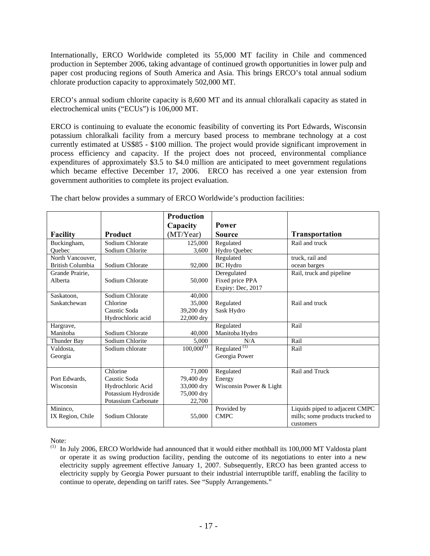Internationally, ERCO Worldwide completed its 55,000 MT facility in Chile and commenced production in September 2006, taking advantage of continued growth opportunities in lower pulp and paper cost producing regions of South America and Asia. This brings ERCO's total annual sodium chlorate production capacity to approximately 502,000 MT.

ERCO's annual sodium chlorite capacity is 8,600 MT and its annual chloralkali capacity as stated in electrochemical units ("ECUs") is 106,000 MT.

ERCO is continuing to evaluate the economic feasibility of converting its Port Edwards, Wisconsin potassium chloralkali facility from a mercury based process to membrane technology at a cost currently estimated at US\$85 - \$100 million. The project would provide significant improvement in process efficiency and capacity. If the project does not proceed, environmental compliance expenditures of approximately \$3.5 to \$4.0 million are anticipated to meet government regulations which became effective December 17, 2006. ERCO has received a one year extension from government authorities to complete its project evaluation.

The chart below provides a summary of ERCO Worldwide's production facilities:

|                  |                     | <b>Production</b><br>Capacity | <b>Power</b>             |                                 |
|------------------|---------------------|-------------------------------|--------------------------|---------------------------------|
| <b>Facility</b>  | Product             | (MT/Year)                     | <b>Source</b>            | <b>Transportation</b>           |
| Buckingham,      | Sodium Chlorate     | 125,000                       | Regulated                | Rail and truck                  |
| Ouebec           | Sodium Chlorite     | 3,600                         | Hydro Quebec             |                                 |
| North Vancouver, |                     |                               | Regulated                | truck, rail and                 |
| British Columbia | Sodium Chlorate     | 92,000                        | <b>BC</b> Hydro          | ocean barges                    |
| Grande Prairie,  |                     |                               | Deregulated              | Rail, truck and pipeline        |
| Alberta          | Sodium Chlorate     | 50,000                        | Fixed price PPA          |                                 |
|                  |                     |                               | Expiry: Dec, 2017        |                                 |
| Saskatoon,       | Sodium Chlorate     | 40,000                        |                          |                                 |
| Saskatchewan     | Chlorine            | 35,000                        | Regulated                | Rail and truck                  |
|                  | Caustic Soda        | 39,200 dry                    | Sask Hydro               |                                 |
|                  | Hydrochloric acid   | 22,000 dry                    |                          |                                 |
| Hargrave,        |                     |                               | Regulated                | Rail                            |
| Manitoba         | Sodium Chlorate     | 40,000                        | Manitoba Hydro           |                                 |
| Thunder Bay      | Sodium Chlorite     | 5,000                         | N/A                      | Rail                            |
| Valdosta.        | Sodium chlorate     | $100,000^{(1)}$               | Regulated <sup>(1)</sup> | Rail                            |
| Georgia          |                     |                               | Georgia Power            |                                 |
|                  |                     |                               |                          |                                 |
|                  | Chlorine            | 71,000                        | Regulated                | Rail and Truck                  |
| Port Edwards.    | Caustic Soda        | 79,400 dry                    | Energy                   |                                 |
| Wisconsin        | Hydrochloric Acid   | 33,000 dry                    | Wisconsin Power & Light  |                                 |
|                  | Potassium Hydroxide | 75,000 dry                    |                          |                                 |
|                  | Potassium Carbonate | 22,700                        |                          |                                 |
| Mininco,         |                     |                               | Provided by              | Liquids piped to adjacent CMPC  |
| IX Region, Chile | Sodium Chlorate     | 55,000                        | <b>CMPC</b>              | mills; some products trucked to |
|                  |                     |                               |                          | customers                       |

Note:

<sup>(1)</sup> In July 2006, ERCO Worldwide had announced that it would either mothball its 100,000 MT Valdosta plant or operate it as swing production facility, pending the outcome of its negotiations to enter into a new electricity supply agreement effective January 1, 2007. Subsequently, ERCO has been granted access to electricity supply by Georgia Power pursuant to their industrial interruptible tariff, enabling the facility to continue to operate, depending on tariff rates. See "Supply Arrangements."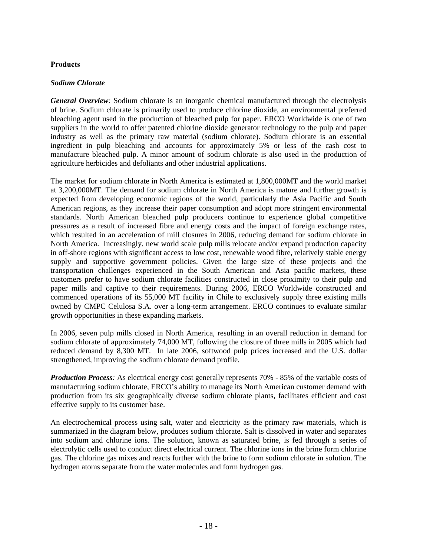### <span id="page-22-0"></span>**Products**

### *Sodium Chlorate*

*General Overview:* Sodium chlorate is an inorganic chemical manufactured through the electrolysis of brine. Sodium chlorate is primarily used to produce chlorine dioxide, an environmental preferred bleaching agent used in the production of bleached pulp for paper. ERCO Worldwide is one of two suppliers in the world to offer patented chlorine dioxide generator technology to the pulp and paper industry as well as the primary raw material (sodium chlorate). Sodium chlorate is an essential ingredient in pulp bleaching and accounts for approximately 5% or less of the cash cost to manufacture bleached pulp. A minor amount of sodium chlorate is also used in the production of agriculture herbicides and defoliants and other industrial applications.

The market for sodium chlorate in North America is estimated at 1,800,000MT and the world market at 3,200,000MT. The demand for sodium chlorate in North America is mature and further growth is expected from developing economic regions of the world, particularly the Asia Pacific and South American regions, as they increase their paper consumption and adopt more stringent environmental standards. North American bleached pulp producers continue to experience global competitive pressures as a result of increased fibre and energy costs and the impact of foreign exchange rates, which resulted in an acceleration of mill closures in 2006, reducing demand for sodium chlorate in North America. Increasingly, new world scale pulp mills relocate and/or expand production capacity in off-shore regions with significant access to low cost, renewable wood fibre, relatively stable energy supply and supportive government policies. Given the large size of these projects and the transportation challenges experienced in the South American and Asia pacific markets, these customers prefer to have sodium chlorate facilities constructed in close proximity to their pulp and paper mills and captive to their requirements. During 2006, ERCO Worldwide constructed and commenced operations of its 55,000 MT facility in Chile to exclusively supply three existing mills owned by CMPC Celulosa S.A. over a long-term arrangement. ERCO continues to evaluate similar growth opportunities in these expanding markets.

In 2006, seven pulp mills closed in North America, resulting in an overall reduction in demand for sodium chlorate of approximately 74,000 MT, following the closure of three mills in 2005 which had reduced demand by 8,300 MT. In late 2006, softwood pulp prices increased and the U.S. dollar strengthened, improving the sodium chlorate demand profile.

*Production Process:* As electrical energy cost generally represents 70% - 85% of the variable costs of manufacturing sodium chlorate, ERCO's ability to manage its North American customer demand with production from its six geographically diverse sodium chlorate plants, facilitates efficient and cost effective supply to its customer base.

An electrochemical process using salt, water and electricity as the primary raw materials, which is summarized in the diagram below, produces sodium chlorate. Salt is dissolved in water and separates into sodium and chlorine ions. The solution, known as saturated brine, is fed through a series of electrolytic cells used to conduct direct electrical current. The chlorine ions in the brine form chlorine gas. The chlorine gas mixes and reacts further with the brine to form sodium chlorate in solution. The hydrogen atoms separate from the water molecules and form hydrogen gas.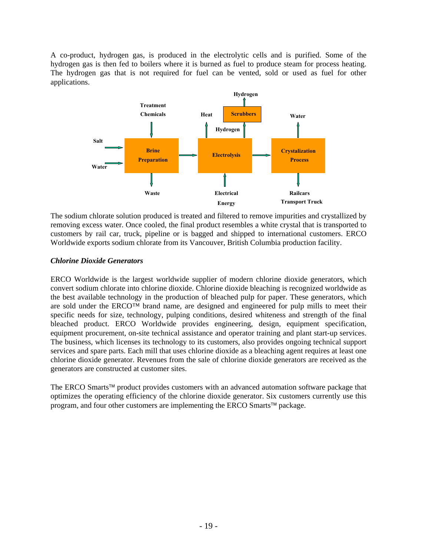A co-product, hydrogen gas, is produced in the electrolytic cells and is purified. Some of the hydrogen gas is then fed to boilers where it is burned as fuel to produce steam for process heating. The hydrogen gas that is not required for fuel can be vented, sold or used as fuel for other applications.



The sodium chlorate solution produced is treated and filtered to remove impurities and crystallized by removing excess water. Once cooled, the final product resembles a white crystal that is transported to customers by rail car, truck, pipeline or is bagged and shipped to international customers. ERCO Worldwide exports sodium chlorate from its Vancouver, British Columbia production facility.

### *Chlorine Dioxide Generators*

ERCO Worldwide is the largest worldwide supplier of modern chlorine dioxide generators, which convert sodium chlorate into chlorine dioxide. Chlorine dioxide bleaching is recognized worldwide as the best available technology in the production of bleached pulp for paper. These generators, which are sold under the ERCO™ brand name, are designed and engineered for pulp mills to meet their specific needs for size, technology, pulping conditions, desired whiteness and strength of the final bleached product. ERCO Worldwide provides engineering, design, equipment specification, equipment procurement, on-site technical assistance and operator training and plant start-up services. The business, which licenses its technology to its customers, also provides ongoing technical support services and spare parts. Each mill that uses chlorine dioxide as a bleaching agent requires at least one chlorine dioxide generator. Revenues from the sale of chlorine dioxide generators are received as the generators are constructed at customer sites.

The ERCO Smarts™ product provides customers with an advanced automation software package that optimizes the operating efficiency of the chlorine dioxide generator. Six customers currently use this program, and four other customers are implementing the ERCO Smarts™ package.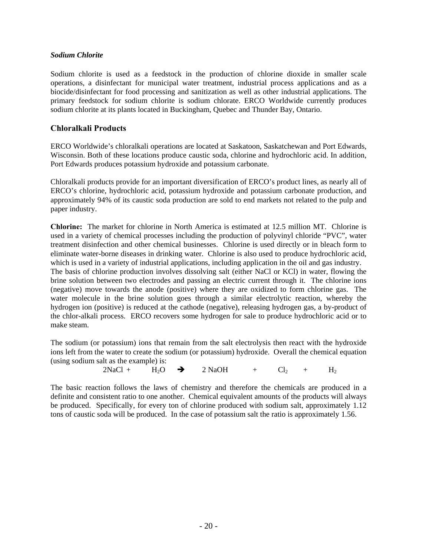#### *Sodium Chlorite*

Sodium chlorite is used as a feedstock in the production of chlorine dioxide in smaller scale operations, a disinfectant for municipal water treatment, industrial process applications and as a biocide/disinfectant for food processing and sanitization as well as other industrial applications. The primary feedstock for sodium chlorite is sodium chlorate. ERCO Worldwide currently produces sodium chlorite at its plants located in Buckingham, Quebec and Thunder Bay, Ontario.

### **Chloralkali Products**

ERCO Worldwide's chloralkali operations are located at Saskatoon, Saskatchewan and Port Edwards, Wisconsin. Both of these locations produce caustic soda, chlorine and hydrochloric acid. In addition, Port Edwards produces potassium hydroxide and potassium carbonate.

Chloralkali products provide for an important diversification of ERCO's product lines, as nearly all of ERCO's chlorine, hydrochloric acid, potassium hydroxide and potassium carbonate production, and approximately 94% of its caustic soda production are sold to end markets not related to the pulp and paper industry.

**Chlorine:** The market for chlorine in North America is estimated at 12.5 million MT. Chlorine is used in a variety of chemical processes including the production of polyvinyl chloride "PVC", water treatment disinfection and other chemical businesses. Chlorine is used directly or in bleach form to eliminate water-borne diseases in drinking water. Chlorine is also used to produce hydrochloric acid, which is used in a variety of industrial applications, including application in the oil and gas industry. The basis of chlorine production involves dissolving salt (either NaCl or KCl) in water, flowing the brine solution between two electrodes and passing an electric current through it. The chlorine ions (negative) move towards the anode (positive) where they are oxidized to form chlorine gas. The water molecule in the brine solution goes through a similar electrolytic reaction, whereby the hydrogen ion (positive) is reduced at the cathode (negative), releasing hydrogen gas, a by-product of the chlor-alkali process. ERCO recovers some hydrogen for sale to produce hydrochloric acid or to make steam.

The sodium (or potassium) ions that remain from the salt electrolysis then react with the hydroxide ions left from the water to create the sodium (or potassium) hydroxide. Overall the chemical equation (using sodium salt as the example) is:

 $2NaCl + H_2O \rightarrow 2NaOH + Cl_2 + H_2$ 

The basic reaction follows the laws of chemistry and therefore the chemicals are produced in a definite and consistent ratio to one another. Chemical equivalent amounts of the products will always be produced. Specifically, for every ton of chlorine produced with sodium salt, approximately 1.12 tons of caustic soda will be produced. In the case of potassium salt the ratio is approximately 1.56.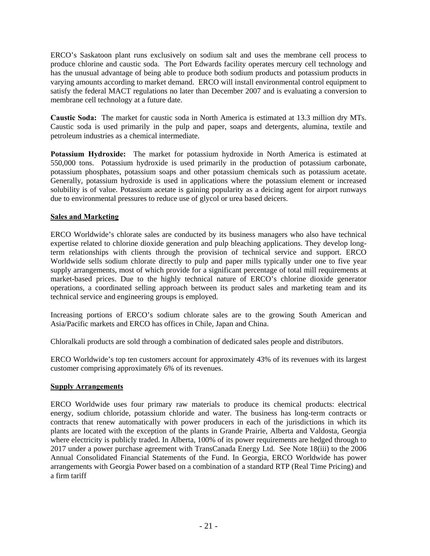<span id="page-25-0"></span>ERCO's Saskatoon plant runs exclusively on sodium salt and uses the membrane cell process to produce chlorine and caustic soda. The Port Edwards facility operates mercury cell technology and has the unusual advantage of being able to produce both sodium products and potassium products in varying amounts according to market demand. ERCO will install environmental control equipment to satisfy the federal MACT regulations no later than December 2007 and is evaluating a conversion to membrane cell technology at a future date.

 **Caustic Soda:** The market for caustic soda in North America is estimated at 13.3 million dry MTs. Caustic soda is used primarily in the pulp and paper, soaps and detergents, alumina, textile and petroleum industries as a chemical intermediate.

**Potassium Hydroxide:** The market for potassium hydroxide in North America is estimated at 550,000 tons. Potassium hydroxide is used primarily in the production of potassium carbonate, potassium phosphates, potassium soaps and other potassium chemicals such as potassium acetate. Generally, potassium hydroxide is used in applications where the potassium element or increased solubility is of value. Potassium acetate is gaining popularity as a deicing agent for airport runways due to environmental pressures to reduce use of glycol or urea based deicers.

### **Sales and Marketing**

ERCO Worldwide's chlorate sales are conducted by its business managers who also have technical expertise related to chlorine dioxide generation and pulp bleaching applications. They develop longterm relationships with clients through the provision of technical service and support. ERCO Worldwide sells sodium chlorate directly to pulp and paper mills typically under one to five year supply arrangements, most of which provide for a significant percentage of total mill requirements at market-based prices. Due to the highly technical nature of ERCO's chlorine dioxide generator operations, a coordinated selling approach between its product sales and marketing team and its technical service and engineering groups is employed.

Increasing portions of ERCO's sodium chlorate sales are to the growing South American and Asia/Pacific markets and ERCO has offices in Chile, Japan and China.

Chloralkali products are sold through a combination of dedicated sales people and distributors.

ERCO Worldwide's top ten customers account for approximately 43% of its revenues with its largest customer comprising approximately 6% of its revenues.

### **Supply Arrangements**

ERCO Worldwide uses four primary raw materials to produce its chemical products: electrical energy, sodium chloride, potassium chloride and water. The business has long-term contracts or contracts that renew automatically with power producers in each of the jurisdictions in which its plants are located with the exception of the plants in Grande Prairie, Alberta and Valdosta, Georgia where electricity is publicly traded. In Alberta, 100% of its power requirements are hedged through to 2017 under a power purchase agreement with TransCanada Energy Ltd. See Note 18(iii) to the 2006 Annual Consolidated Financial Statements of the Fund. In Georgia, ERCO Worldwide has power arrangements with Georgia Power based on a combination of a standard RTP (Real Time Pricing) and a firm tariff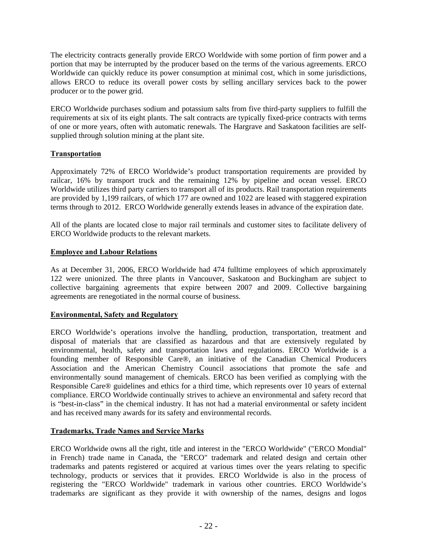<span id="page-26-0"></span>The electricity contracts generally provide ERCO Worldwide with some portion of firm power and a portion that may be interrupted by the producer based on the terms of the various agreements. ERCO Worldwide can quickly reduce its power consumption at minimal cost, which in some jurisdictions, allows ERCO to reduce its overall power costs by selling ancillary services back to the power producer or to the power grid.

ERCO Worldwide purchases sodium and potassium salts from five third-party suppliers to fulfill the requirements at six of its eight plants. The salt contracts are typically fixed-price contracts with terms of one or more years, often with automatic renewals. The Hargrave and Saskatoon facilities are selfsupplied through solution mining at the plant site.

### **Transportation**

Approximately 72% of ERCO Worldwide's product transportation requirements are provided by railcar, 16% by transport truck and the remaining 12% by pipeline and ocean vessel. ERCO Worldwide utilizes third party carriers to transport all of its products. Rail transportation requirements are provided by 1,199 railcars, of which 177 are owned and 1022 are leased with staggered expiration terms through to 2012. ERCO Worldwide generally extends leases in advance of the expiration date.

All of the plants are located close to major rail terminals and customer sites to facilitate delivery of ERCO Worldwide products to the relevant markets.

### **Employee and Labour Relations**

As at December 31, 2006, ERCO Worldwide had 474 fulltime employees of which approximately 122 were unionized. The three plants in Vancouver, Saskatoon and Buckingham are subject to collective bargaining agreements that expire between 2007 and 2009. Collective bargaining agreements are renegotiated in the normal course of business.

### **Environmental, Safety and Regulatory**

ERCO Worldwide's operations involve the handling, production, transportation, treatment and disposal of materials that are classified as hazardous and that are extensively regulated by environmental, health, safety and transportation laws and regulations. ERCO Worldwide is a founding member of Responsible Care®, an initiative of the Canadian Chemical Producers Association and the American Chemistry Council associations that promote the safe and environmentally sound management of chemicals. ERCO has been verified as complying with the Responsible Care® guidelines and ethics for a third time, which represents over 10 years of external compliance. ERCO Worldwide continually strives to achieve an environmental and safety record that is "best-in-class" in the chemical industry. It has not had a material environmental or safety incident and has received many awards for its safety and environmental records.

### **Trademarks, Trade Names and Service Marks**

ERCO Worldwide owns all the right, title and interest in the "ERCO Worldwide" ("ERCO Mondial" in French) trade name in Canada, the "ERCO" trademark and related design and certain other trademarks and patents registered or acquired at various times over the years relating to specific technology, products or services that it provides. ERCO Worldwide is also in the process of registering the "ERCO Worldwide" trademark in various other countries. ERCO Worldwide's trademarks are significant as they provide it with ownership of the names, designs and logos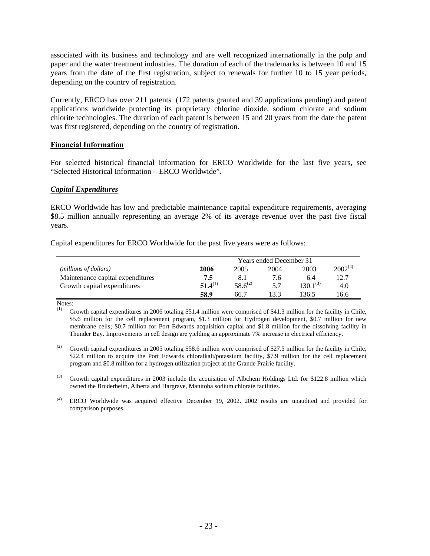<span id="page-27-0"></span>associated with its business and technology and are well recognized internationally in the pulp and paper and the water treatment industries. The duration of each of the trademarks is between 10 and 15 years from the date of the first registration, subject to renewals for further 10 to 15 year periods, depending on the country of registration.

Currently, ERCO has over 211 patents (172 patents granted and 39 applications pending) and patent applications worldwide protecting its proprietary chlorine dioxide, sodium chlorate and sodium chlorite technologies. The duration of each patent is between 15 and 20 years from the date the patent was first registered, depending on the country of registration.

### **Financial Information**

For selected historical financial information for ERCO Worldwide for the last five years, see "Selected Historical Information – ERCO Worldwide".

### *Capital Expenditures*

ERCO Worldwide has low and predictable maintenance capital expenditure requirements, averaging \$8.5 million annually representing an average 2% of its average revenue over the past five fiscal years.

Capital expenditures for ERCO Worldwide for the past five years were as follows:

|                                  | <b>Years ended December 31</b> |              |      |               |              |  |
|----------------------------------|--------------------------------|--------------|------|---------------|--------------|--|
| (millions of dollars)            | 2006                           | 2005         | 2004 | 2003          | $2002^{(4)}$ |  |
| Maintenance capital expenditures | 7.5                            |              | 7.6  | 6.4           | 12.7         |  |
| Growth capital expenditures      | $51.4^{(1)}$                   | $58.6^{(2)}$ | 57   | $130.1^{(3)}$ | 4.0          |  |
|                                  | 58.9                           | 66.7         |      | 136.5         | 16.6         |  |

Notes:<br>(1)  $\overline{C}$ 

Growth capital expenditures in 2006 totaling \$51.4 million were comprised of \$41.3 million for the facility in Chile, \$5.6 million for the cell replacement program, \$1.3 million for Hydrogen development, \$0.7 million for new membrane cells; \$0.7 million for Port Edwards acquisition capital and \$1.8 million for the dissolving facility in Thunder Bay. Improvements in cell design are yielding an approximate 7% increase in electrical efficiency.

(2) Growth capital expenditures in 2005 totaling \$58.6 million were comprised of \$27.5 million for the facility in Chile, \$22.4 million to acquire the Port Edwards chloralkali/potassium facility, \$7.9 million for the cell replacement program and \$0.8 million for a hydrogen utilization project at the Grande Prairie facility.

(3) Growth capital expenditures in 2003 include the acquisition of Albchem Holdings Ltd. for \$122.8 million which owned the Bruderheim, Alberta and Hargrave, Manitoba sodium chlorate facilities.

(4) ERCO Worldwide was acquired effective December 19, 2002. 2002 results are unaudited and provided for comparison purposes.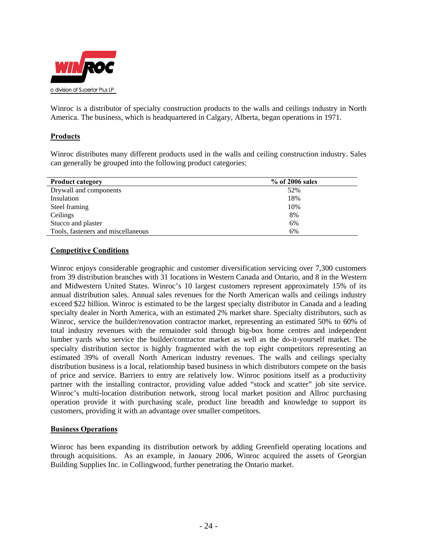<span id="page-28-0"></span>

Winroc is a distributor of specialty construction products to the walls and ceilings industry in North America. The business, which is headquartered in Calgary, Alberta, began operations in 1971.

### **Products**

Winroc distributes many different products used in the walls and ceiling construction industry. Sales can generally be grouped into the following product categories:

| <b>Product category</b>            | % of 2006 sales |
|------------------------------------|-----------------|
| Drywall and components             | 52%             |
| Insulation                         | 18%             |
| Steel framing                      | 10%             |
| Ceilings                           | 8%              |
| Stucco and plaster                 | 6%              |
| Tools, fasteners and miscellaneous | 6%              |

### **Competitive Conditions**

Winroc enjoys considerable geographic and customer diversification servicing over 7,300 customers from 39 distribution branches with 31 locations in Western Canada and Ontario, and 8 in the Western and Midwestern United States. Winroc's 10 largest customers represent approximately 15% of its annual distribution sales. Annual sales revenues for the North American walls and ceilings industry exceed \$22 billion. Winroc is estimated to be the largest specialty distributor in Canada and a leading specialty dealer in North America, with an estimated 2% market share. Specialty distributors, such as Winroc, service the builder/renovation contractor market, representing an estimated 50% to 60% of total industry revenues with the remainder sold through big-box home centres and independent lumber yards who service the builder/contractor market as well as the do-it-yourself market. The specialty distribution sector is highly fragmented with the top eight competitors representing an estimated 39% of overall North American industry revenues. The walls and ceilings specialty distribution business is a local, relationship based business in which distributors compete on the basis of price and service. Barriers to entry are relatively low. Winroc positions itself as a productivity partner with the installing contractor, providing value added "stock and scatter" job site service. Winroc's multi-location distribution network, strong local market position and Allroc purchasing operation provide it with purchasing scale, product line breadth and knowledge to support its customers, providing it with an advantage over smaller competitors.

### **Business Operations**

Winroc has been expanding its distribution network by adding Greenfield operating locations and through acquisitions. As an example, in January 2006, Winroc acquired the assets of Georgian Building Supplies Inc. in Collingwood, further penetrating the Ontario market.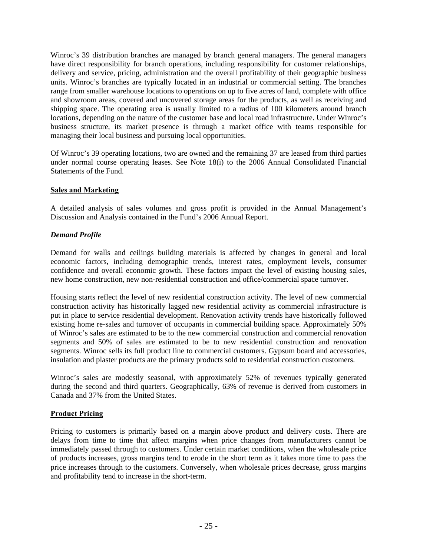<span id="page-29-0"></span>Winroc's 39 distribution branches are managed by branch general managers. The general managers have direct responsibility for branch operations, including responsibility for customer relationships, delivery and service, pricing, administration and the overall profitability of their geographic business units. Winroc's branches are typically located in an industrial or commercial setting. The branches range from smaller warehouse locations to operations on up to five acres of land, complete with office and showroom areas, covered and uncovered storage areas for the products, as well as receiving and shipping space. The operating area is usually limited to a radius of 100 kilometers around branch locations, depending on the nature of the customer base and local road infrastructure. Under Winroc's business structure, its market presence is through a market office with teams responsible for managing their local business and pursuing local opportunities.

Of Winroc's 39 operating locations, two are owned and the remaining 37 are leased from third parties under normal course operating leases. See Note 18(i) to the 2006 Annual Consolidated Financial Statements of the Fund.

### **Sales and Marketing**

A detailed analysis of sales volumes and gross profit is provided in the Annual Management's Discussion and Analysis contained in the Fund's 2006 Annual Report.

### *Demand Profile*

Demand for walls and ceilings building materials is affected by changes in general and local economic factors, including demographic trends, interest rates, employment levels, consumer confidence and overall economic growth. These factors impact the level of existing housing sales, new home construction, new non-residential construction and office/commercial space turnover.

Housing starts reflect the level of new residential construction activity. The level of new commercial construction activity has historically lagged new residential activity as commercial infrastructure is put in place to service residential development. Renovation activity trends have historically followed existing home re-sales and turnover of occupants in commercial building space. Approximately 50% of Winroc's sales are estimated to be to the new commercial construction and commercial renovation segments and 50% of sales are estimated to be to new residential construction and renovation segments. Winroc sells its full product line to commercial customers. Gypsum board and accessories, insulation and plaster products are the primary products sold to residential construction customers.

Winroc's sales are modestly seasonal, with approximately 52% of revenues typically generated during the second and third quarters. Geographically, 63% of revenue is derived from customers in Canada and 37% from the United States.

### **Product Pricing**

Pricing to customers is primarily based on a margin above product and delivery costs. There are delays from time to time that affect margins when price changes from manufacturers cannot be immediately passed through to customers. Under certain market conditions, when the wholesale price of products increases, gross margins tend to erode in the short term as it takes more time to pass the price increases through to the customers. Conversely, when wholesale prices decrease, gross margins and profitability tend to increase in the short-term.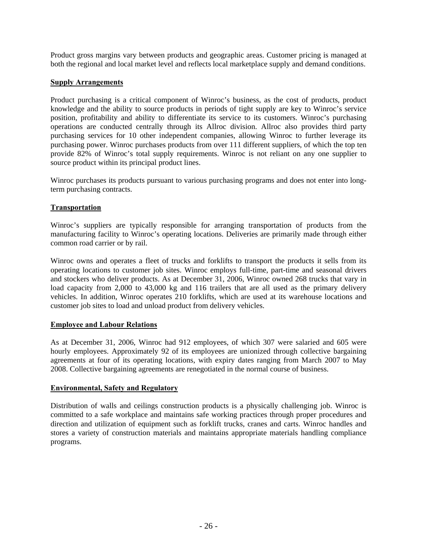<span id="page-30-0"></span>Product gross margins vary between products and geographic areas. Customer pricing is managed at both the regional and local market level and reflects local marketplace supply and demand conditions.

### **Supply Arrangements**

Product purchasing is a critical component of Winroc's business, as the cost of products, product knowledge and the ability to source products in periods of tight supply are key to Winroc's service position, profitability and ability to differentiate its service to its customers. Winroc's purchasing operations are conducted centrally through its Allroc division. Allroc also provides third party purchasing services for 10 other independent companies, allowing Winroc to further leverage its purchasing power. Winroc purchases products from over 111 different suppliers, of which the top ten provide 82% of Winroc's total supply requirements. Winroc is not reliant on any one supplier to source product within its principal product lines.

Winroc purchases its products pursuant to various purchasing programs and does not enter into longterm purchasing contracts.

### **Transportation**

Winroc's suppliers are typically responsible for arranging transportation of products from the manufacturing facility to Winroc's operating locations. Deliveries are primarily made through either common road carrier or by rail.

Winroc owns and operates a fleet of trucks and forklifts to transport the products it sells from its operating locations to customer job sites. Winroc employs full-time, part-time and seasonal drivers and stockers who deliver products. As at December 31, 2006, Winroc owned 268 trucks that vary in load capacity from 2,000 to 43,000 kg and 116 trailers that are all used as the primary delivery vehicles. In addition, Winroc operates 210 forklifts, which are used at its warehouse locations and customer job sites to load and unload product from delivery vehicles.

### **Employee and Labour Relations**

As at December 31, 2006, Winroc had 912 employees, of which 307 were salaried and 605 were hourly employees. Approximately 92 of its employees are unionized through collective bargaining agreements at four of its operating locations, with expiry dates ranging from March 2007 to May 2008. Collective bargaining agreements are renegotiated in the normal course of business.

### **Environmental, Safety and Regulatory**

Distribution of walls and ceilings construction products is a physically challenging job. Winroc is committed to a safe workplace and maintains safe working practices through proper procedures and direction and utilization of equipment such as forklift trucks, cranes and carts. Winroc handles and stores a variety of construction materials and maintains appropriate materials handling compliance programs.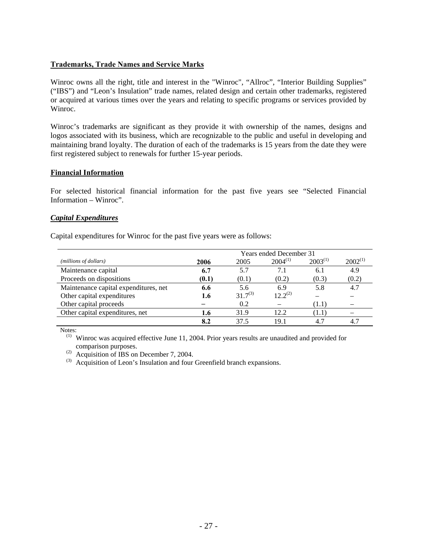### <span id="page-31-0"></span>**Trademarks, Trade Names and Service Marks**

Winroc owns all the right, title and interest in the "Winroc", "Allroc", "Interior Building Supplies" ("IBS") and "Leon's Insulation" trade names, related design and certain other trademarks, registered or acquired at various times over the years and relating to specific programs or services provided by Winroc.

Winroc's trademarks are significant as they provide it with ownership of the names, designs and logos associated with its business, which are recognizable to the public and useful in developing and maintaining brand loyalty. The duration of each of the trademarks is 15 years from the date they were first registered subject to renewals for further 15-year periods.

### **Financial Information**

For selected historical financial information for the past five years see "Selected Financial Information – Winroc".

### *Capital Expenditures*

Capital expenditures for Winroc for the past five years were as follows:

|                                       | <b>Years ended December 31</b> |              |              |              |              |  |  |
|---------------------------------------|--------------------------------|--------------|--------------|--------------|--------------|--|--|
| (millions of dollars)                 | 2006                           | 2005         | $2004^{(1)}$ | $2003^{(1)}$ | $2002^{(1)}$ |  |  |
| Maintenance capital                   | 6.7                            | 5.7          | 7.1          | 6.1          | 4.9          |  |  |
| Proceeds on dispositions              | (0.1)                          | (0.1)        | (0.2)        | (0.3)        | (0.2)        |  |  |
| Maintenance capital expenditures, net | 6.6                            | 5.6          | 6.9          | 5.8          | 4.7          |  |  |
| Other capital expenditures            | 1.6                            | $31.7^{(3)}$ | $12.2^{(2)}$ |              |              |  |  |
| Other capital proceeds                |                                | 0.2          |              | (1.1)        |              |  |  |
| Other capital expenditures, net       | 1.6                            | 31.9         | 12.2         | (1.1)        |              |  |  |
|                                       | 8.2                            | 37.5         | 19.1         | 4.7          | 4.7          |  |  |

Notes:

<sup>(1)</sup> Winroc was acquired effective June 11, 2004. Prior years results are unaudited and provided for comparison purposes.

(2) Acquisition of IBS on December 7, 2004.

(3) Acquisition of Leon's Insulation and four Greenfield branch expansions.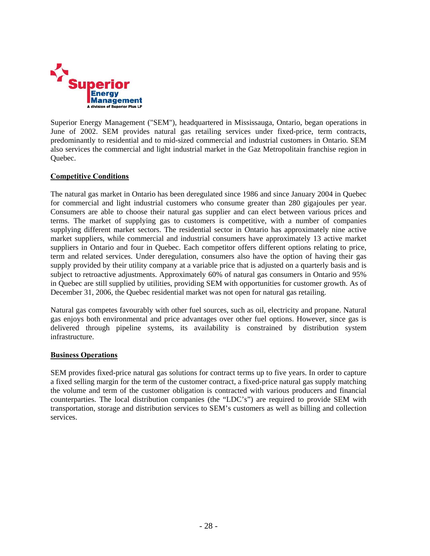<span id="page-32-0"></span>

Superior Energy Management ("SEM"), headquartered in Mississauga, Ontario, began operations in June of 2002. SEM provides natural gas retailing services under fixed-price, term contracts, predominantly to residential and to mid-sized commercial and industrial customers in Ontario. SEM also services the commercial and light industrial market in the Gaz Metropolitain franchise region in Quebec.

### **Competitive Conditions**

The natural gas market in Ontario has been deregulated since 1986 and since January 2004 in Quebec for commercial and light industrial customers who consume greater than 280 gigajoules per year. Consumers are able to choose their natural gas supplier and can elect between various prices and terms. The market of supplying gas to customers is competitive, with a number of companies supplying different market sectors. The residential sector in Ontario has approximately nine active market suppliers, while commercial and industrial consumers have approximately 13 active market suppliers in Ontario and four in Quebec. Each competitor offers different options relating to price, term and related services. Under deregulation, consumers also have the option of having their gas supply provided by their utility company at a variable price that is adjusted on a quarterly basis and is subject to retroactive adjustments. Approximately 60% of natural gas consumers in Ontario and 95% in Quebec are still supplied by utilities, providing SEM with opportunities for customer growth. As of December 31, 2006, the Quebec residential market was not open for natural gas retailing.

Natural gas competes favourably with other fuel sources, such as oil, electricity and propane. Natural gas enjoys both environmental and price advantages over other fuel options. However, since gas is delivered through pipeline systems, its availability is constrained by distribution system infrastructure.

### **Business Operations**

SEM provides fixed-price natural gas solutions for contract terms up to five years. In order to capture a fixed selling margin for the term of the customer contract, a fixed-price natural gas supply matching the volume and term of the customer obligation is contracted with various producers and financial counterparties. The local distribution companies (the "LDC's") are required to provide SEM with transportation, storage and distribution services to SEM's customers as well as billing and collection services.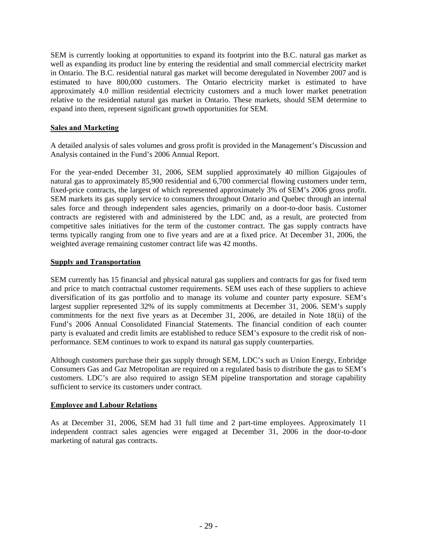<span id="page-33-0"></span>SEM is currently looking at opportunities to expand its footprint into the B.C. natural gas market as well as expanding its product line by entering the residential and small commercial electricity market in Ontario. The B.C. residential natural gas market will become deregulated in November 2007 and is estimated to have 800,000 customers. The Ontario electricity market is estimated to have approximately 4.0 million residential electricity customers and a much lower market penetration relative to the residential natural gas market in Ontario. These markets, should SEM determine to expand into them, represent significant growth opportunities for SEM.

### **Sales and Marketing**

A detailed analysis of sales volumes and gross profit is provided in the Management's Discussion and Analysis contained in the Fund's 2006 Annual Report.

For the year-ended December 31, 2006, SEM supplied approximately 40 million Gigajoules of natural gas to approximately 85,900 residential and 6,700 commercial flowing customers under term, fixed-price contracts, the largest of which represented approximately 3% of SEM's 2006 gross profit. SEM markets its gas supply service to consumers throughout Ontario and Quebec through an internal sales force and through independent sales agencies, primarily on a door-to-door basis. Customer contracts are registered with and administered by the LDC and, as a result, are protected from competitive sales initiatives for the term of the customer contract. The gas supply contracts have terms typically ranging from one to five years and are at a fixed price. At December 31, 2006, the weighted average remaining customer contract life was 42 months.

### **Supply and Transportation**

SEM currently has 15 financial and physical natural gas suppliers and contracts for gas for fixed term and price to match contractual customer requirements. SEM uses each of these suppliers to achieve diversification of its gas portfolio and to manage its volume and counter party exposure. SEM's largest supplier represented 32% of its supply commitments at December 31, 2006. SEM's supply commitments for the next five years as at December 31, 2006, are detailed in Note 18(ii) of the Fund's 2006 Annual Consolidated Financial Statements. The financial condition of each counter party is evaluated and credit limits are established to reduce SEM's exposure to the credit risk of nonperformance. SEM continues to work to expand its natural gas supply counterparties.

Although customers purchase their gas supply through SEM, LDC's such as Union Energy, Enbridge Consumers Gas and Gaz Metropolitan are required on a regulated basis to distribute the gas to SEM's customers. LDC's are also required to assign SEM pipeline transportation and storage capability sufficient to service its customers under contract.

### **Employee and Labour Relations**

As at December 31, 2006, SEM had 31 full time and 2 part-time employees. Approximately 11 independent contract sales agencies were engaged at December 31, 2006 in the door-to-door marketing of natural gas contracts.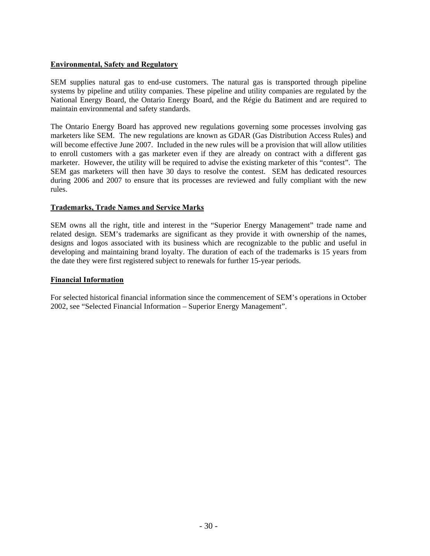### <span id="page-34-0"></span>**Environmental, Safety and Regulatory**

SEM supplies natural gas to end-use customers. The natural gas is transported through pipeline systems by pipeline and utility companies. These pipeline and utility companies are regulated by the National Energy Board, the Ontario Energy Board, and the Régie du Batiment and are required to maintain environmental and safety standards.

The Ontario Energy Board has approved new regulations governing some processes involving gas marketers like SEM. The new regulations are known as GDAR (Gas Distribution Access Rules) and will become effective June 2007. Included in the new rules will be a provision that will allow utilities to enroll customers with a gas marketer even if they are already on contract with a different gas marketer. However, the utility will be required to advise the existing marketer of this "contest". The SEM gas marketers will then have 30 days to resolve the contest. SEM has dedicated resources during 2006 and 2007 to ensure that its processes are reviewed and fully compliant with the new rules.

### **Trademarks, Trade Names and Service Marks**

SEM owns all the right, title and interest in the "Superior Energy Management" trade name and related design. SEM's trademarks are significant as they provide it with ownership of the names, designs and logos associated with its business which are recognizable to the public and useful in developing and maintaining brand loyalty. The duration of each of the trademarks is 15 years from the date they were first registered subject to renewals for further 15-year periods.

### **Financial Information**

For selected historical financial information since the commencement of SEM's operations in October 2002, see "Selected Financial Information – Superior Energy Management".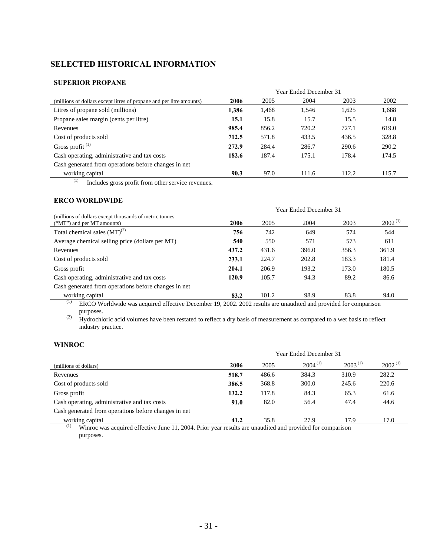# <span id="page-35-0"></span>**SELECTED HISTORICAL INFORMATION**

### **SUPERIOR PROPANE**

|                                                                      | Year Ended December 31 |       |       |       |       |  |  |
|----------------------------------------------------------------------|------------------------|-------|-------|-------|-------|--|--|
| (millions of dollars except litres of propane and per litre amounts) | 2006                   | 2005  | 2004  | 2003  | 2002  |  |  |
| Litres of propane sold (millions)                                    | 1.386                  | 1,468 | 1,546 | 1,625 | 1,688 |  |  |
| Propane sales margin (cents per litre)                               | 15.1                   | 15.8  | 15.7  | 15.5  | 14.8  |  |  |
| Revenues                                                             | 985.4                  | 856.2 | 720.2 | 727.1 | 619.0 |  |  |
| Cost of products sold                                                | 712.5                  | 571.8 | 433.5 | 436.5 | 328.8 |  |  |
| Gross profit $(1)$                                                   | 272.9                  | 284.4 | 286.7 | 290.6 | 290.2 |  |  |
| Cash operating, administrative and tax costs                         | 182.6                  | 187.4 | 175.1 | 178.4 | 174.5 |  |  |
| Cash generated from operations before changes in net                 |                        |       |       |       |       |  |  |
| working capital                                                      | 90.3                   | 97.0  | 111.6 | 112.2 | 115.7 |  |  |
|                                                                      |                        |       |       |       |       |  |  |

(1) Includes gross profit from other service revenues.

#### **ERCO WORLDWIDE**

|                                                                                       | Year Ended December 31 |       |       |       |              |  |
|---------------------------------------------------------------------------------------|------------------------|-------|-------|-------|--------------|--|
| (millions of dollars except thousands of metric tonnes)<br>("MT") and per MT amounts) | 2006                   | 2005  | 2004  | 2003  | $2002^{(1)}$ |  |
| Total chemical sales $(MT)^{(2)}$                                                     | 756                    | 742   | 649   | 574   | 544          |  |
| Average chemical selling price (dollars per MT)                                       | 540                    | 550   | 571   | 573   | 611          |  |
| Revenues                                                                              | 437.2                  | 431.6 | 396.0 | 356.3 | 361.9        |  |
| Cost of products sold                                                                 | 233.1                  | 224.7 | 202.8 | 183.3 | 181.4        |  |
| Gross profit                                                                          | 204.1                  | 206.9 | 193.2 | 173.0 | 180.5        |  |
| Cash operating, administrative and tax costs                                          | 120.9                  | 105.7 | 94.3  | 89.2  | 86.6         |  |
| Cash generated from operations before changes in net                                  |                        |       |       |       |              |  |
| working capital<br>(1)                                                                | 83.2                   | 101.2 | 98.9  | 83.8  | 94.0         |  |

(1) ERCO Worldwide was acquired effective December 19, 2002. 2002 results are unaudited and provided for comparison purposes.

<sup>(2)</sup> Hydrochloric acid volumes have been restated to reflect a dry basis of measurement as compared to a wet basis to reflect industry practice.

### **WINROC**

|                                                                                                             | <b>Year Ended December 31</b> |       |              |              |              |  |
|-------------------------------------------------------------------------------------------------------------|-------------------------------|-------|--------------|--------------|--------------|--|
| (millions of dollars)                                                                                       | 2006                          | 2005  | $2004^{(1)}$ | $2003^{(1)}$ | $2002^{(1)}$ |  |
| Revenues                                                                                                    | 518.7                         | 486.6 | 384.3        | 310.9        | 282.2        |  |
| Cost of products sold                                                                                       | 386.5                         | 368.8 | 300.0        | 245.6        | 220.6        |  |
| Gross profit                                                                                                | 132.2                         | 117.8 | 84.3         | 65.3         | 61.6         |  |
| Cash operating, administrative and tax costs                                                                | 91.0                          | 82.0  | 56.4         | 47.4         | 44.6         |  |
| Cash generated from operations before changes in net                                                        |                               |       |              |              |              |  |
| working capital                                                                                             | 41.2                          | 35.8  | 27.9         | 17.9         | 17.0         |  |
| (1)<br>Winner was agained offective June 11, 2004. Driver weavenly are unaudited and provided for componion |                               |       |              |              |              |  |

 (1) Winroc was acquired effective June 11, 2004. Prior year results are unaudited and provided for comparison purposes.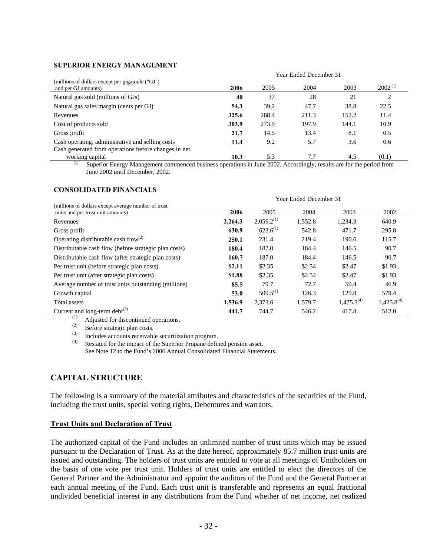### <span id="page-36-0"></span>**SUPERIOR ENERGY MANAGEMENT**

|                                                                         | r ear Ended December 31 |       |       |       |              |  |
|-------------------------------------------------------------------------|-------------------------|-------|-------|-------|--------------|--|
| (millions of dollars except per gigajoule ("GJ")<br>and per GJ amounts) | 2006                    | 2005  | 2004  | 2003  | $2002^{(1)}$ |  |
| Natural gas sold (millions of GJs)                                      | 40                      | 37    | 28    | 21    | റ            |  |
| Natural gas sales margin (cents per GJ)                                 | 54.3                    | 39.2  | 47.7  | 38.8  | 22.5         |  |
| Revenues                                                                | 325.6                   | 288.4 | 211.3 | 152.2 | 11.4         |  |
| Cost of products sold                                                   | 303.9                   | 273.9 | 197.9 | 144.1 | 10.9         |  |
| Gross profit                                                            | 21.7                    | 14.5  | 13.4  | 8.1   | 0.5          |  |
| Cash operating, administrative and selling costs                        | 11.4                    | 9.2   | 5.7   | 3.6   | 0.6          |  |
| Cash generated from operations before changes in net                    |                         |       |       |       |              |  |
| working capital                                                         | 10.3                    | 5.3   | 7.7   | 4.5   | (0.1)        |  |

Year Ended December 31

Year Ended December 31

Superior Energy Management commenced business operations in June 2002. Accordingly, results are for the period from June 2002 until December, 2002.

#### **CONSOLIDATED FINANCIALS**

| (millions of dollars except average number of trust)  |         |                 | Tear Ended Becompon 51 |                 |                 |
|-------------------------------------------------------|---------|-----------------|------------------------|-----------------|-----------------|
| units and per trust unit amounts)                     | 2006    | 2005            | 2004                   | 2003            | 2002            |
| Revenues                                              | 2.264.3 | $2,059.2^{(1)}$ | 1,552.8                | 1,234.3         | 640.9           |
| Gross profit                                          | 630.9   | $623.6^{(1)}$   | 542.8                  | 471.7           | 295.8           |
| Operating distributable cash flow <sup>(2)</sup>      | 250.1   | 231.4           | 219.4                  | 190.6           | 115.7           |
| Distributable cash flow (before strategic plan costs) | 180.4   | 187.0           | 184.4                  | 146.5           | 90.7            |
| Distributable cash flow (after strategic plan costs)  | 160.7   | 187.0           | 184.4                  | 146.5           | 90.7            |
| Per trust unit (before strategic plan costs)          | \$2.11  | \$2.35          | \$2.54                 | \$2.47          | \$1.93          |
| Per trust unit (after strategic plan costs)           | \$1.88  | \$2.35          | \$2.54                 | \$2.47          | \$1.93          |
| Average number of trust units outstanding (millions)  | 85.5    | 79.7            | 72.7                   | 59.4            | 46.9            |
| Growth capital                                        | 53.0    | $509.5^{(1)}$   | 126.3                  | 129.8           | 579.4           |
| Total assets                                          | 1,536.9 | 2,373.6         | 1,579.7                | $1,475.3^{(4)}$ | $1,425.8^{(4)}$ |
| Current and long-term debt $^{(3)}$                   | 441.7   | 744.7           | 546.2                  | 417.8           | 512.0           |

(1) Adjusted for discontinued operations.

 $^{(2)}$  Before strategic plan costs.

(3) Includes accounts receivable securitization program.<br>  $(4)$  Restated for the impact of the Superior Propane defined pension asset. See Note 12 to the Fund's 2006 Annual Consolidated Financial Statements.

# **CAPITAL STRUCTURE**

The following is a summary of the material attributes and characteristics of the securities of the Fund, including the trust units, special voting rights, Debentures and warrants.

#### **Trust Units and Declaration of Trust**

The authorized capital of the Fund includes an unlimited number of trust units which may be issued pursuant to the Declaration of Trust. As at the date hereof, approximately 85.7 million trust units are issued and outstanding. The holders of trust units are entitled to vote at all meetings of Unitholders on the basis of one vote per trust unit. Holders of trust units are entitled to elect the directors of the General Partner and the Administrator and appoint the auditors of the Fund and the General Partner at each annual meeting of the Fund. Each trust unit is transferable and represents an equal fractional undivided beneficial interest in any distributions from the Fund whether of net income, net realized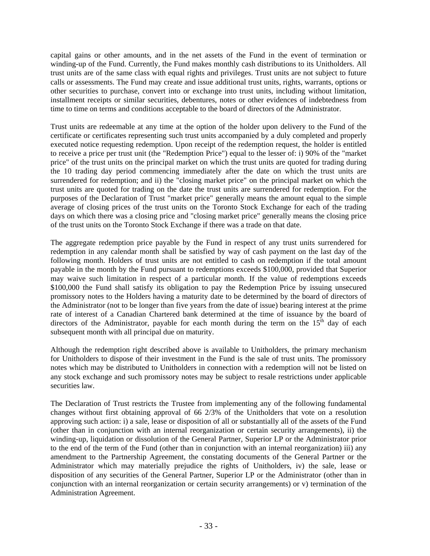capital gains or other amounts, and in the net assets of the Fund in the event of termination or winding-up of the Fund. Currently, the Fund makes monthly cash distributions to its Unitholders. All trust units are of the same class with equal rights and privileges. Trust units are not subject to future calls or assessments. The Fund may create and issue additional trust units, rights, warrants, options or other securities to purchase, convert into or exchange into trust units, including without limitation, installment receipts or similar securities, debentures, notes or other evidences of indebtedness from time to time on terms and conditions acceptable to the board of directors of the Administrator.

Trust units are redeemable at any time at the option of the holder upon delivery to the Fund of the certificate or certificates representing such trust units accompanied by a duly completed and properly executed notice requesting redemption. Upon receipt of the redemption request, the holder is entitled to receive a price per trust unit (the "Redemption Price") equal to the lesser of: i) 90% of the "market price" of the trust units on the principal market on which the trust units are quoted for trading during the 10 trading day period commencing immediately after the date on which the trust units are surrendered for redemption; and ii) the "closing market price" on the principal market on which the trust units are quoted for trading on the date the trust units are surrendered for redemption. For the purposes of the Declaration of Trust "market price" generally means the amount equal to the simple average of closing prices of the trust units on the Toronto Stock Exchange for each of the trading days on which there was a closing price and "closing market price" generally means the closing price of the trust units on the Toronto Stock Exchange if there was a trade on that date.

The aggregate redemption price payable by the Fund in respect of any trust units surrendered for redemption in any calendar month shall be satisfied by way of cash payment on the last day of the following month. Holders of trust units are not entitled to cash on redemption if the total amount payable in the month by the Fund pursuant to redemptions exceeds \$100,000, provided that Superior may waive such limitation in respect of a particular month. If the value of redemptions exceeds \$100,000 the Fund shall satisfy its obligation to pay the Redemption Price by issuing unsecured promissory notes to the Holders having a maturity date to be determined by the board of directors of the Administrator (not to be longer than five years from the date of issue) bearing interest at the prime rate of interest of a Canadian Chartered bank determined at the time of issuance by the board of directors of the Administrator, payable for each month during the term on the  $15<sup>th</sup>$  day of each subsequent month with all principal due on maturity.

Although the redemption right described above is available to Unitholders, the primary mechanism for Unitholders to dispose of their investment in the Fund is the sale of trust units. The promissory notes which may be distributed to Unitholders in connection with a redemption will not be listed on any stock exchange and such promissory notes may be subject to resale restrictions under applicable securities law.

The Declaration of Trust restricts the Trustee from implementing any of the following fundamental changes without first obtaining approval of 66 2/3% of the Unitholders that vote on a resolution approving such action: i) a sale, lease or disposition of all or substantially all of the assets of the Fund (other than in conjunction with an internal reorganization or certain security arrangements), ii) the winding-up, liquidation or dissolution of the General Partner, Superior LP or the Administrator prior to the end of the term of the Fund (other than in conjunction with an internal reorganization) iii) any amendment to the Partnership Agreement, the constating documents of the General Partner or the Administrator which may materially prejudice the rights of Unitholders, iv) the sale, lease or disposition of any securities of the General Partner, Superior LP or the Administrator (other than in conjunction with an internal reorganization or certain security arrangements) or v) termination of the Administration Agreement.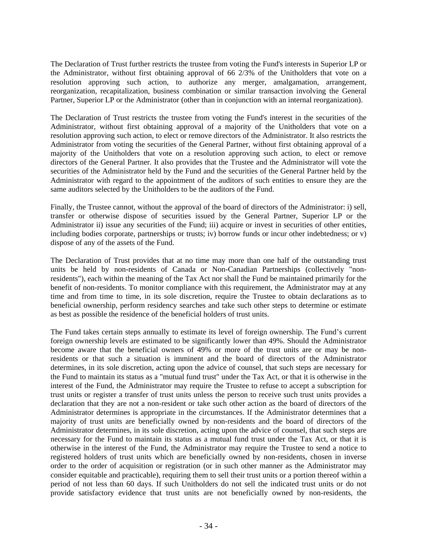The Declaration of Trust further restricts the trustee from voting the Fund's interests in Superior LP or the Administrator, without first obtaining approval of 66 2/3% of the Unitholders that vote on a resolution approving such action, to authorize any merger, amalgamation, arrangement, reorganization, recapitalization, business combination or similar transaction involving the General Partner, Superior LP or the Administrator (other than in conjunction with an internal reorganization).

The Declaration of Trust restricts the trustee from voting the Fund's interest in the securities of the Administrator, without first obtaining approval of a majority of the Unitholders that vote on a resolution approving such action, to elect or remove directors of the Administrator. It also restricts the Administrator from voting the securities of the General Partner, without first obtaining approval of a majority of the Unitholders that vote on a resolution approving such action, to elect or remove directors of the General Partner. It also provides that the Trustee and the Administrator will vote the securities of the Administrator held by the Fund and the securities of the General Partner held by the Administrator with regard to the appointment of the auditors of such entities to ensure they are the same auditors selected by the Unitholders to be the auditors of the Fund.

Finally, the Trustee cannot, without the approval of the board of directors of the Administrator: i) sell, transfer or otherwise dispose of securities issued by the General Partner, Superior LP or the Administrator ii) issue any securities of the Fund; iii) acquire or invest in securities of other entities, including bodies corporate, partnerships or trusts; iv) borrow funds or incur other indebtedness; or v) dispose of any of the assets of the Fund.

The Declaration of Trust provides that at no time may more than one half of the outstanding trust units be held by non-residents of Canada or Non-Canadian Partnerships (collectively "nonresidents"), each within the meaning of the Tax Act nor shall the Fund be maintained primarily for the benefit of non-residents. To monitor compliance with this requirement, the Administrator may at any time and from time to time, in its sole discretion, require the Trustee to obtain declarations as to beneficial ownership, perform residency searches and take such other steps to determine or estimate as best as possible the residence of the beneficial holders of trust units.

The Fund takes certain steps annually to estimate its level of foreign ownership. The Fund's current foreign ownership levels are estimated to be significantly lower than 49%. Should the Administrator become aware that the beneficial owners of 49% or more of the trust units are or may be nonresidents or that such a situation is imminent and the board of directors of the Administrator determines, in its sole discretion, acting upon the advice of counsel, that such steps are necessary for the Fund to maintain its status as a "mutual fund trust" under the Tax Act, or that it is otherwise in the interest of the Fund, the Administrator may require the Trustee to refuse to accept a subscription for trust units or register a transfer of trust units unless the person to receive such trust units provides a declaration that they are not a non-resident or take such other action as the board of directors of the Administrator determines is appropriate in the circumstances. If the Administrator determines that a majority of trust units are beneficially owned by non-residents and the board of directors of the Administrator determines, in its sole discretion, acting upon the advice of counsel, that such steps are necessary for the Fund to maintain its status as a mutual fund trust under the Tax Act, or that it is otherwise in the interest of the Fund, the Administrator may require the Trustee to send a notice to registered holders of trust units which are beneficially owned by non-residents, chosen in inverse order to the order of acquisition or registration (or in such other manner as the Administrator may consider equitable and practicable), requiring them to sell their trust units or a portion thereof within a period of not less than 60 days. If such Unitholders do not sell the indicated trust units or do not provide satisfactory evidence that trust units are not beneficially owned by non-residents, the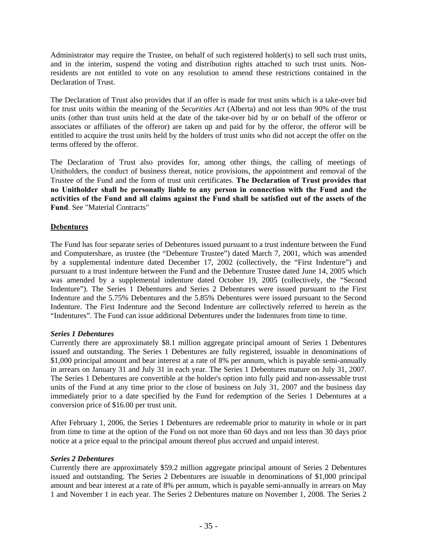<span id="page-39-0"></span>Administrator may require the Trustee, on behalf of such registered holder(s) to sell such trust units, and in the interim, suspend the voting and distribution rights attached to such trust units. Nonresidents are not entitled to vote on any resolution to amend these restrictions contained in the Declaration of Trust.

The Declaration of Trust also provides that if an offer is made for trust units which is a take-over bid for trust units within the meaning of the *Securities Act* (Alberta) and not less than 90% of the trust units (other than trust units held at the date of the take-over bid by or on behalf of the offeror or associates or affiliates of the offeror) are taken up and paid for by the offeror, the offeror will be entitled to acquire the trust units held by the holders of trust units who did not accept the offer on the terms offered by the offeror.

The Declaration of Trust also provides for, among other things, the calling of meetings of Unitholders, the conduct of business thereat, notice provisions, the appointment and removal of the Trustee of the Fund and the form of trust unit certificates. **The Declaration of Trust provides that no Unitholder shall be personally liable to any person in connection with the Fund and the activities of the Fund and all claims against the Fund shall be satisfied out of the assets of the Fund**. See "Material Contracts"

### **Debentures**

The Fund has four separate series of Debentures issued pursuant to a trust indenture between the Fund and Computershare, as trustee (the "Debenture Trustee") dated March 7, 2001, which was amended by a supplemental indenture dated December 17, 2002 (collectively, the "First Indenture") and pursuant to a trust indenture between the Fund and the Debenture Trustee dated June 14, 2005 which was amended by a supplemental indenture dated October 19, 2005 (collectively, the "Second Indenture"). The Series 1 Debentures and Series 2 Debentures were issued pursuant to the First Indenture and the 5.75% Debentures and the 5.85% Debentures were issued pursuant to the Second Indenture. The First Indenture and the Second Indenture are collectively referred to herein as the "Indentures". The Fund can issue additional Debentures under the Indentures from time to time.

### *Series 1 Debentures*

Currently there are approximately \$8.1 million aggregate principal amount of Series 1 Debentures issued and outstanding. The Series 1 Debentures are fully registered, issuable in denominations of \$1,000 principal amount and bear interest at a rate of 8% per annum, which is payable semi-annually in arrears on January 31 and July 31 in each year. The Series 1 Debentures mature on July 31, 2007. The Series 1 Debentures are convertible at the holder's option into fully paid and non-assessable trust units of the Fund at any time prior to the close of business on July 31, 2007 and the business day immediately prior to a date specified by the Fund for redemption of the Series 1 Debentures at a conversion price of \$16.00 per trust unit.

After February 1, 2006, the Series 1 Debentures are redeemable prior to maturity in whole or in part from time to time at the option of the Fund on not more than 60 days and not less than 30 days prior notice at a price equal to the principal amount thereof plus accrued and unpaid interest.

### *Series 2 Debentures*

Currently there are approximately \$59.2 million aggregate principal amount of Series 2 Debentures issued and outstanding. The Series 2 Debentures are issuable in denominations of \$1,000 principal amount and bear interest at a rate of 8% per annum, which is payable semi-annually in arrears on May 1 and November 1 in each year. The Series 2 Debentures mature on November 1, 2008. The Series 2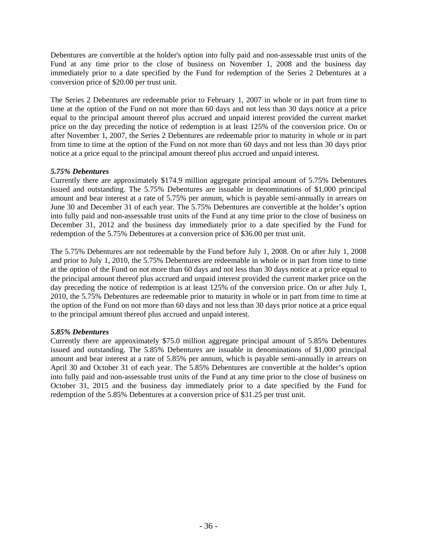Debentures are convertible at the holder's option into fully paid and non-assessable trust units of the Fund at any time prior to the close of business on November 1, 2008 and the business day immediately prior to a date specified by the Fund for redemption of the Series 2 Debentures at a conversion price of \$20.00 per trust unit.

The Series 2 Debentures are redeemable prior to February 1, 2007 in whole or in part from time to time at the option of the Fund on not more than 60 days and not less than 30 days notice at a price equal to the principal amount thereof plus accrued and unpaid interest provided the current market price on the day preceding the notice of redemption is at least 125% of the conversion price. On or after November 1, 2007, the Series 2 Debentures are redeemable prior to maturity in whole or in part from time to time at the option of the Fund on not more than 60 days and not less than 30 days prior notice at a price equal to the principal amount thereof plus accrued and unpaid interest.

### *5.75% Debentures*

Currently there are approximately \$174.9 million aggregate principal amount of 5.75% Debentures issued and outstanding. The 5.75% Debentures are issuable in denominations of \$1,000 principal amount and bear interest at a rate of 5.75% per annum, which is payable semi-annually in arrears on June 30 and December 31 of each year. The 5.75% Debentures are convertible at the holder's option into fully paid and non-assessable trust units of the Fund at any time prior to the close of business on December 31, 2012 and the business day immediately prior to a date specified by the Fund for redemption of the 5.75% Debentures at a conversion price of \$36.00 per trust unit.

The 5.75% Debentures are not redeemable by the Fund before July 1, 2008. On or after July 1, 2008 and prior to July 1, 2010, the 5.75% Debentures are redeemable in whole or in part from time to time at the option of the Fund on not more than 60 days and not less than 30 days notice at a price equal to the principal amount thereof plus accrued and unpaid interest provided the current market price on the day preceding the notice of redemption is at least 125% of the conversion price. On or after July 1, 2010, the 5.75% Debentures are redeemable prior to maturity in whole or in part from time to time at the option of the Fund on not more than 60 days and not less than 30 days prior notice at a price equal to the principal amount thereof plus accrued and unpaid interest.

### *5.85% Debentures*

Currently there are approximately \$75.0 million aggregate principal amount of 5.85% Debentures issued and outstanding. The 5.85% Debentures are issuable in denominations of \$1,000 principal amount and bear interest at a rate of 5.85% per annum, which is payable semi-annually in arrears on April 30 and October 31 of each year. The 5.85% Debentures are convertible at the holder's option into fully paid and non-assessable trust units of the Fund at any time prior to the close of business on October 31, 2015 and the business day immediately prior to a date specified by the Fund for redemption of the 5.85% Debentures at a conversion price of \$31.25 per trust unit.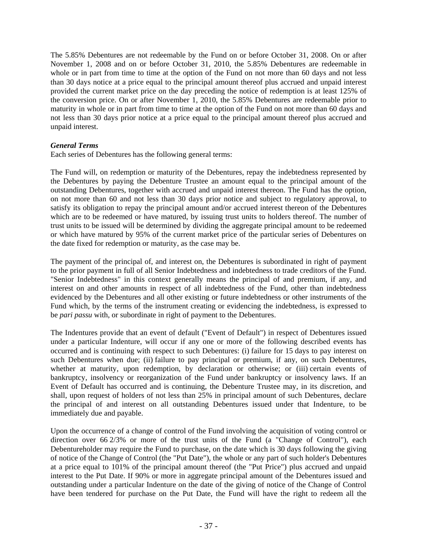The 5.85% Debentures are not redeemable by the Fund on or before October 31, 2008. On or after November 1, 2008 and on or before October 31, 2010, the 5.85% Debentures are redeemable in whole or in part from time to time at the option of the Fund on not more than 60 days and not less than 30 days notice at a price equal to the principal amount thereof plus accrued and unpaid interest provided the current market price on the day preceding the notice of redemption is at least 125% of the conversion price. On or after November 1, 2010, the 5.85% Debentures are redeemable prior to maturity in whole or in part from time to time at the option of the Fund on not more than 60 days and not less than 30 days prior notice at a price equal to the principal amount thereof plus accrued and unpaid interest.

### *General Terms*

Each series of Debentures has the following general terms:

The Fund will, on redemption or maturity of the Debentures, repay the indebtedness represented by the Debentures by paying the Debenture Trustee an amount equal to the principal amount of the outstanding Debentures, together with accrued and unpaid interest thereon. The Fund has the option, on not more than 60 and not less than 30 days prior notice and subject to regulatory approval, to satisfy its obligation to repay the principal amount and/or accrued interest thereon of the Debentures which are to be redeemed or have matured, by issuing trust units to holders thereof. The number of trust units to be issued will be determined by dividing the aggregate principal amount to be redeemed or which have matured by 95% of the current market price of the particular series of Debentures on the date fixed for redemption or maturity, as the case may be.

The payment of the principal of, and interest on, the Debentures is subordinated in right of payment to the prior payment in full of all Senior Indebtedness and indebtedness to trade creditors of the Fund. "Senior Indebtedness" in this context generally means the principal of and premium, if any, and interest on and other amounts in respect of all indebtedness of the Fund, other than indebtedness evidenced by the Debentures and all other existing or future indebtedness or other instruments of the Fund which, by the terms of the instrument creating or evidencing the indebtedness, is expressed to be *pari passu* with, or subordinate in right of payment to the Debentures.

The Indentures provide that an event of default ("Event of Default") in respect of Debentures issued under a particular Indenture, will occur if any one or more of the following described events has occurred and is continuing with respect to such Debentures: (i) failure for 15 days to pay interest on such Debentures when due; (ii) failure to pay principal or premium, if any, on such Debentures, whether at maturity, upon redemption, by declaration or otherwise; or (iii) certain events of bankruptcy, insolvency or reorganization of the Fund under bankruptcy or insolvency laws. If an Event of Default has occurred and is continuing, the Debenture Trustee may, in its discretion, and shall, upon request of holders of not less than 25% in principal amount of such Debentures, declare the principal of and interest on all outstanding Debentures issued under that Indenture, to be immediately due and payable.

Upon the occurrence of a change of control of the Fund involving the acquisition of voting control or direction over 66 2/3% or more of the trust units of the Fund (a "Change of Control"), each Debentureholder may require the Fund to purchase, on the date which is 30 days following the giving of notice of the Change of Control (the "Put Date"), the whole or any part of such holder's Debentures at a price equal to 101% of the principal amount thereof (the "Put Price") plus accrued and unpaid interest to the Put Date. If 90% or more in aggregate principal amount of the Debentures issued and outstanding under a particular Indenture on the date of the giving of notice of the Change of Control have been tendered for purchase on the Put Date, the Fund will have the right to redeem all the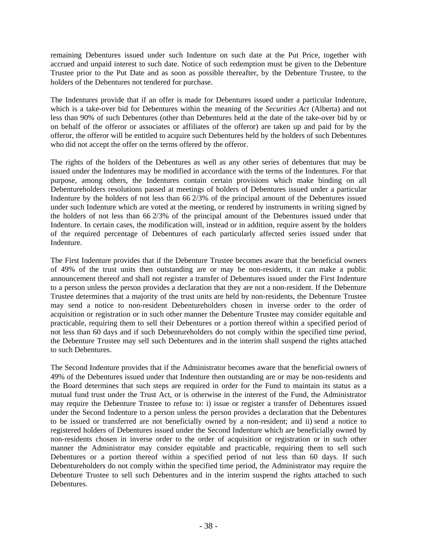remaining Debentures issued under such Indenture on such date at the Put Price, together with accrued and unpaid interest to such date. Notice of such redemption must be given to the Debenture Trustee prior to the Put Date and as soon as possible thereafter, by the Debenture Trustee, to the holders of the Debentures not tendered for purchase.

The Indentures provide that if an offer is made for Debentures issued under a particular Indenture, which is a take-over bid for Debentures within the meaning of the *Securities Act* (Alberta) and not less than 90% of such Debentures (other than Debentures held at the date of the take-over bid by or on behalf of the offeror or associates or affiliates of the offeror) are taken up and paid for by the offeror, the offeror will be entitled to acquire such Debentures held by the holders of such Debentures who did not accept the offer on the terms offered by the offeror.

The rights of the holders of the Debentures as well as any other series of debentures that may be issued under the Indentures may be modified in accordance with the terms of the Indentures. For that purpose, among others, the Indentures contain certain provisions which make binding on all Debentureholders resolutions passed at meetings of holders of Debentures issued under a particular Indenture by the holders of not less than 66 2/3% of the principal amount of the Debentures issued under such Indenture which are voted at the meeting, or rendered by instruments in writing signed by the holders of not less than 66 2/3% of the principal amount of the Debentures issued under that Indenture. In certain cases, the modification will, instead or in addition, require assent by the holders of the required percentage of Debentures of each particularly affected series issued under that Indenture.

The First Indenture provides that if the Debenture Trustee becomes aware that the beneficial owners of 49% of the trust units then outstanding are or may be non-residents, it can make a public announcement thereof and shall not register a transfer of Debentures issued under the First Indenture to a person unless the person provides a declaration that they are not a non-resident. If the Debenture Trustee determines that a majority of the trust units are held by non-residents, the Debenture Trustee may send a notice to non-resident Debentureholders chosen in inverse order to the order of acquisition or registration or in such other manner the Debenture Trustee may consider equitable and practicable, requiring them to sell their Debentures or a portion thereof within a specified period of not less than 60 days and if such Debentureholders do not comply within the specified time period, the Debenture Trustee may sell such Debentures and in the interim shall suspend the rights attached to such Debentures.

The Second Indenture provides that if the Administrator becomes aware that the beneficial owners of 49% of the Debentures issued under that Indenture then outstanding are or may be non-residents and the Board determines that such steps are required in order for the Fund to maintain its status as a mutual fund trust under the Trust Act, or is otherwise in the interest of the Fund, the Administrator may require the Debenture Trustee to refuse to: i) issue or register a transfer of Debentures issued under the Second Indenture to a person unless the person provides a declaration that the Debentures to be issued or transferred are not beneficially owned by a non-resident; and ii) send a notice to registered holders of Debentures issued under the Second Indenture which are beneficially owned by non-residents chosen in inverse order to the order of acquisition or registration or in such other manner the Administrator may consider equitable and practicable, requiring them to sell such Debentures or a portion thereof within a specified period of not less than 60 days. If such Debentureholders do not comply within the specified time period, the Administrator may require the Debenture Trustee to sell such Debentures and in the interim suspend the rights attached to such Debentures.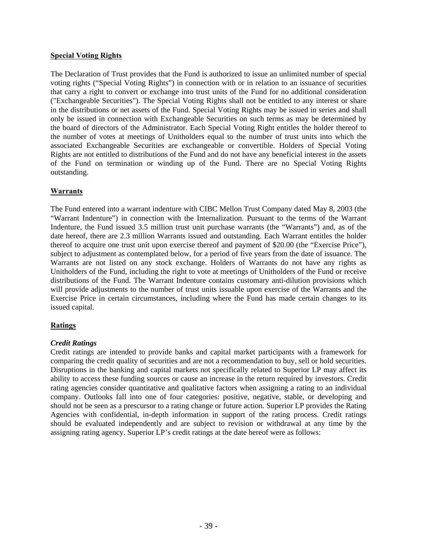### <span id="page-43-0"></span>**Special Voting Rights**

The Declaration of Trust provides that the Fund is authorized to issue an unlimited number of special voting rights ("Special Voting Rights") in connection with or in relation to an issuance of securities that carry a right to convert or exchange into trust units of the Fund for no additional consideration ("Exchangeable Securities"). The Special Voting Rights shall not be entitled to any interest or share in the distributions or net assets of the Fund. Special Voting Rights may be issued in series and shall only be issued in connection with Exchangeable Securities on such terms as may be determined by the board of directors of the Administrator. Each Special Voting Right entitles the holder thereof to the number of votes at meetings of Unitholders equal to the number of trust units into which the associated Exchangeable Securities are exchangeable or convertible. Holders of Special Voting Rights are not entitled to distributions of the Fund and do not have any beneficial interest in the assets of the Fund on termination or winding up of the Fund. There are no Special Voting Rights outstanding.

### **Warrants**

The Fund entered into a warrant indenture with CIBC Mellon Trust Company dated May 8, 2003 (the "Warrant Indenture") in connection with the Internalization. Pursuant to the terms of the Warrant Indenture, the Fund issued 3.5 million trust unit purchase warrants (the "Warrants") and, as of the date hereof, there are 2.3 million Warrants issued and outstanding. Each Warrant entitles the holder thereof to acquire one trust unit upon exercise thereof and payment of \$20.00 (the "Exercise Price"), subject to adjustment as contemplated below, for a period of five years from the date of issuance. The Warrants are not listed on any stock exchange. Holders of Warrants do not have any rights as Unitholders of the Fund, including the right to vote at meetings of Unitholders of the Fund or receive distributions of the Fund. The Warrant Indenture contains customary anti-dilution provisions which will provide adjustments to the number of trust units issuable upon exercise of the Warrants and the Exercise Price in certain circumstances, including where the Fund has made certain changes to its issued capital.

### **Ratings**

### *Credit Ratings*

Credit ratings are intended to provide banks and capital market participants with a framework for comparing the credit quality of securities and are not a recommendation to buy, sell or hold securities. Disruptions in the banking and capital markets not specifically related to Superior LP may affect its ability to access these funding sources or cause an increase in the return required by investors. Credit rating agencies consider quantitative and qualitative factors when assigning a rating to an individual company. Outlooks fall into one of four categories: positive, negative, stable, or developing and should not be seen as a prescursor to a rating change or future action. Superior LP provides the Rating Agencies with confidential, in-depth information in support of the rating process. Credit ratings should be evaluated independently and are subject to revision or withdrawal at any time by the assigning rating agency. Superior LP's credit ratings at the date hereof were as follows: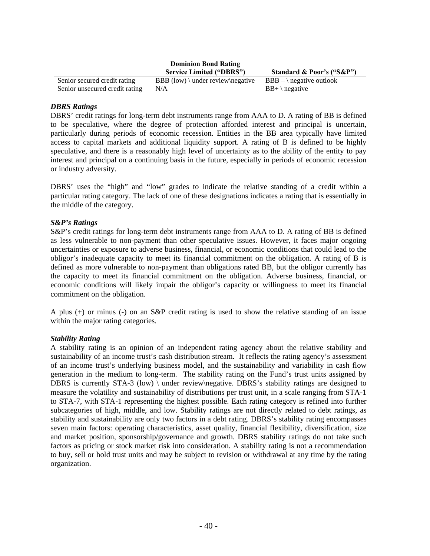|                                | <b>Dominion Bond Rating</b>                 |                              |
|--------------------------------|---------------------------------------------|------------------------------|
|                                | <b>Service Limited ("DBRS")</b>             | Standard & Poor's ("S&P")    |
| Senior secured credit rating   | BBB $(low) \setminus$ under review negative | $BBB - \n\$ negative outlook |
| Senior unsecured credit rating | N/A                                         | $BB+ \nvert$ negative        |

### *DBRS Ratings*

DBRS' credit ratings for long-term debt instruments range from AAA to D. A rating of BB is defined to be speculative, where the degree of protection afforded interest and principal is uncertain, particularly during periods of economic recession. Entities in the BB area typically have limited access to capital markets and additional liquidity support. A rating of B is defined to be highly speculative, and there is a reasonably high level of uncertainty as to the ability of the entity to pay interest and principal on a continuing basis in the future, especially in periods of economic recession or industry adversity.

DBRS' uses the "high" and "low" grades to indicate the relative standing of a credit within a particular rating category. The lack of one of these designations indicates a rating that is essentially in the middle of the category.

#### *S&P's Ratings*

S&P's credit ratings for long-term debt instruments range from AAA to D. A rating of BB is defined as less vulnerable to non-payment than other speculative issues. However, it faces major ongoing uncertainties or exposure to adverse business, financial, or economic conditions that could lead to the obligor's inadequate capacity to meet its financial commitment on the obligation. A rating of B is defined as more vulnerable to non-payment than obligations rated BB, but the obligor currently has the capacity to meet its financial commitment on the obligation. Adverse business, financial, or economic conditions will likely impair the obligor's capacity or willingness to meet its financial commitment on the obligation.

A plus (+) or minus (-) on an S&P credit rating is used to show the relative standing of an issue within the major rating categories.

### *Stability Rating*

A stability rating is an opinion of an independent rating agency about the relative stability and sustainability of an income trust's cash distribution stream. It reflects the rating agency's assessment of an income trust's underlying business model, and the sustainability and variability in cash flow generation in the medium to long-term. The stability rating on the Fund's trust units assigned by DBRS is currently STA-3 (low)  $\langle$  under review $\langle$ negative. DBRS's stability ratings are designed to measure the volatility and sustainability of distributions per trust unit, in a scale ranging from STA-1 to STA-7, with STA-1 representing the highest possible. Each rating category is refined into further subcategories of high, middle, and low. Stability ratings are not directly related to debt ratings, as stability and sustainability are only two factors in a debt rating. DBRS's stability rating encompasses seven main factors: operating characteristics, asset quality, financial flexibility, diversification, size and market position, sponsorship/governance and growth. DBRS stability ratings do not take such factors as pricing or stock market risk into consideration. A stability rating is not a recommendation to buy, sell or hold trust units and may be subject to revision or withdrawal at any time by the rating organization.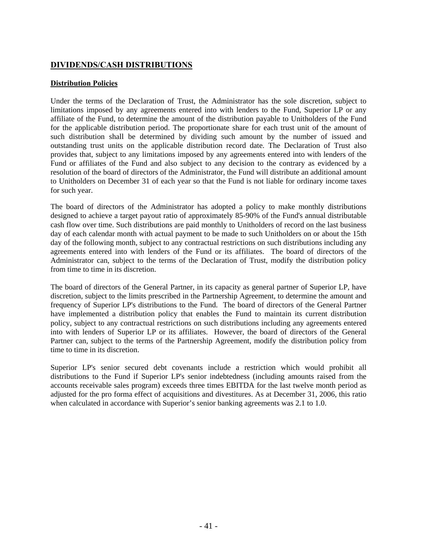# <span id="page-45-0"></span>**DIVIDENDS/CASH DISTRIBUTIONS**

### **Distribution Policies**

Under the terms of the Declaration of Trust, the Administrator has the sole discretion, subject to limitations imposed by any agreements entered into with lenders to the Fund, Superior LP or any affiliate of the Fund, to determine the amount of the distribution payable to Unitholders of the Fund for the applicable distribution period. The proportionate share for each trust unit of the amount of such distribution shall be determined by dividing such amount by the number of issued and outstanding trust units on the applicable distribution record date. The Declaration of Trust also provides that, subject to any limitations imposed by any agreements entered into with lenders of the Fund or affiliates of the Fund and also subject to any decision to the contrary as evidenced by a resolution of the board of directors of the Administrator, the Fund will distribute an additional amount to Unitholders on December 31 of each year so that the Fund is not liable for ordinary income taxes for such year.

The board of directors of the Administrator has adopted a policy to make monthly distributions designed to achieve a target payout ratio of approximately 85-90% of the Fund's annual distributable cash flow over time. Such distributions are paid monthly to Unitholders of record on the last business day of each calendar month with actual payment to be made to such Unitholders on or about the 15th day of the following month, subject to any contractual restrictions on such distributions including any agreements entered into with lenders of the Fund or its affiliates. The board of directors of the Administrator can, subject to the terms of the Declaration of Trust, modify the distribution policy from time to time in its discretion.

The board of directors of the General Partner, in its capacity as general partner of Superior LP, have discretion, subject to the limits prescribed in the Partnership Agreement, to determine the amount and frequency of Superior LP's distributions to the Fund. The board of directors of the General Partner have implemented a distribution policy that enables the Fund to maintain its current distribution policy, subject to any contractual restrictions on such distributions including any agreements entered into with lenders of Superior LP or its affiliates. However, the board of directors of the General Partner can, subject to the terms of the Partnership Agreement, modify the distribution policy from time to time in its discretion.

Superior LP's senior secured debt covenants include a restriction which would prohibit all distributions to the Fund if Superior LP's senior indebtedness (including amounts raised from the accounts receivable sales program) exceeds three times EBITDA for the last twelve month period as adjusted for the pro forma effect of acquisitions and divestitures. As at December 31, 2006, this ratio when calculated in accordance with Superior's senior banking agreements was 2.1 to 1.0.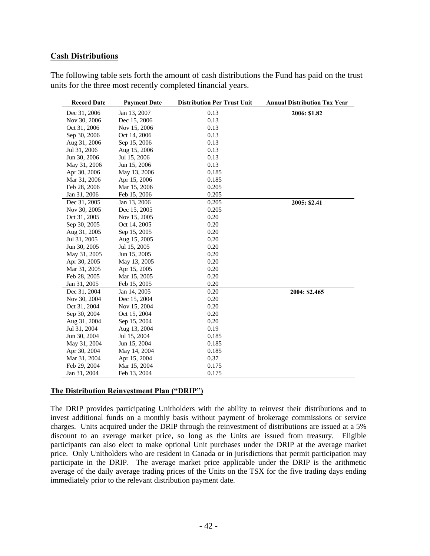## <span id="page-46-0"></span>**Cash Distributions**

| The following table sets forth the amount of cash distributions the Fund has paid on the trust |  |  |
|------------------------------------------------------------------------------------------------|--|--|
| units for the three most recently completed financial years.                                   |  |  |

| <b>Record Date</b> | <b>Payment Date</b> | <b>Distribution Per Trust Unit</b> | <b>Annual Distribution Tax Year</b> |
|--------------------|---------------------|------------------------------------|-------------------------------------|
| Dec 31, 2006       | Jan 13, 2007        | 0.13                               | 2006: \$1.82                        |
| Nov 30, 2006       | Dec 15, 2006        | 0.13                               |                                     |
| Oct 31, 2006       | Nov 15, 2006        | 0.13                               |                                     |
| Sep 30, 2006       | Oct 14, 2006        | 0.13                               |                                     |
| Aug 31, 2006       | Sep 15, 2006        | 0.13                               |                                     |
| Jul 31, 2006       | Aug 15, 2006        | 0.13                               |                                     |
| Jun 30, 2006       | Jul 15, 2006        | 0.13                               |                                     |
| May 31, 2006       | Jun 15, 2006        | 0.13                               |                                     |
| Apr 30, 2006       | May 13, 2006        | 0.185                              |                                     |
| Mar 31, 2006       | Apr 15, 2006        | 0.185                              |                                     |
| Feb 28, 2006       | Mar 15, 2006        | 0.205                              |                                     |
| Jan 31, 2006       | Feb 15, 2006        | 0.205                              |                                     |
| Dec 31, 2005       | Jan 13, 2006        | 0.205                              | 2005: \$2.41                        |
| Nov 30, 2005       | Dec 15, 2005        | 0.205                              |                                     |
| Oct 31, 2005       | Nov 15, 2005        | 0.20                               |                                     |
| Sep 30, 2005       | Oct 14, 2005        | 0.20                               |                                     |
| Aug 31, 2005       | Sep 15, 2005        | 0.20                               |                                     |
| Jul 31, 2005       | Aug 15, 2005        | 0.20                               |                                     |
| Jun 30, 2005       | Jul 15, 2005        | 0.20                               |                                     |
| May 31, 2005       | Jun 15, 2005        | 0.20                               |                                     |
| Apr 30, 2005       | May 13, 2005        | 0.20                               |                                     |
| Mar 31, 2005       | Apr 15, 2005        | 0.20                               |                                     |
| Feb 28, 2005       | Mar 15, 2005        | 0.20                               |                                     |
| Jan 31, 2005       | Feb 15, 2005        | 0.20                               |                                     |
| Dec 31, 2004       | Jan 14, 2005        | 0.20                               | 2004: \$2.465                       |
| Nov 30, 2004       | Dec 15, 2004        | 0.20                               |                                     |
| Oct 31, 2004       | Nov 15, 2004        | 0.20                               |                                     |
| Sep 30, 2004       | Oct 15, 2004        | 0.20                               |                                     |
| Aug 31, 2004       | Sep 15, 2004        | 0.20                               |                                     |
| Jul 31, 2004       | Aug 13, 2004        | 0.19                               |                                     |
| Jun 30, 2004       | Jul 15, 2004        | 0.185                              |                                     |
| May 31, 2004       | Jun 15, 2004        | 0.185                              |                                     |
| Apr 30, 2004       | May 14, 2004        | 0.185                              |                                     |
| Mar 31, 2004       | Apr 15, 2004        | 0.37                               |                                     |
| Feb 29, 2004       | Mar 15, 2004        | 0.175                              |                                     |
| Jan 31, 2004       | Feb 13, 2004        | 0.175                              |                                     |

### **The Distribution Reinvestment Plan ("DRIP")**

The DRIP provides participating Unitholders with the ability to reinvest their distributions and to invest additional funds on a monthly basis without payment of brokerage commissions or service charges. Units acquired under the DRIP through the reinvestment of distributions are issued at a 5% discount to an average market price, so long as the Units are issued from treasury. Eligible participants can also elect to make optional Unit purchases under the DRIP at the average market price. Only Unitholders who are resident in Canada or in jurisdictions that permit participation may participate in the DRIP. The average market price applicable under the DRIP is the arithmetic average of the daily average trading prices of the Units on the TSX for the five trading days ending immediately prior to the relevant distribution payment date.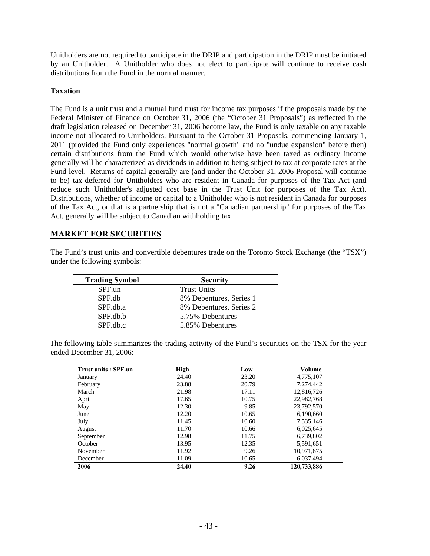<span id="page-47-0"></span>Unitholders are not required to participate in the DRIP and participation in the DRIP must be initiated by an Unitholder. A Unitholder who does not elect to participate will continue to receive cash distributions from the Fund in the normal manner.

### **Taxation**

The Fund is a unit trust and a mutual fund trust for income tax purposes if the proposals made by the Federal Minister of Finance on October 31, 2006 (the "October 31 Proposals") as reflected in the draft legislation released on December 31, 2006 become law, the Fund is only taxable on any taxable income not allocated to Unitholders. Pursuant to the October 31 Proposals, commencing January 1, 2011 (provided the Fund only experiences "normal growth" and no "undue expansion" before then) certain distributions from the Fund which would otherwise have been taxed as ordinary income generally will be characterized as dividends in addition to being subject to tax at corporate rates at the Fund level. Returns of capital generally are (and under the October 31, 2006 Proposal will continue to be) tax-deferred for Unitholders who are resident in Canada for purposes of the Tax Act (and reduce such Unitholder's adjusted cost base in the Trust Unit for purposes of the Tax Act). Distributions, whether of income or capital to a Unitholder who is not resident in Canada for purposes of the Tax Act, or that is a partnership that is not a "Canadian partnership" for purposes of the Tax Act, generally will be subject to Canadian withholding tax.

### **MARKET FOR SECURITIES**

The Fund's trust units and convertible debentures trade on the Toronto Stock Exchange (the "TSX") under the following symbols:

| <b>Trading Symbol</b> | <b>Security</b>         |
|-----------------------|-------------------------|
| SPF.un                | <b>Trust Units</b>      |
| SPF.db                | 8% Debentures, Series 1 |
| SPF.db.a              | 8% Debentures, Series 2 |
| SPF.db.b              | 5.75% Debentures        |
| SPF.db.c              | 5.85% Debentures        |

The following table summarizes the trading activity of the Fund's securities on the TSX for the year ended December 31, 2006:

| <b>Trust units: SPF.un</b> | High  | Low   | Volume      |
|----------------------------|-------|-------|-------------|
| January                    | 24.40 | 23.20 | 4,775,107   |
| February                   | 23.88 | 20.79 | 7,274,442   |
| March                      | 21.98 | 17.11 | 12,816,726  |
| April                      | 17.65 | 10.75 | 22,982,768  |
| May                        | 12.30 | 9.85  | 23,792,570  |
| June                       | 12.20 | 10.65 | 6,190,660   |
| July                       | 11.45 | 10.60 | 7,535,146   |
| August                     | 11.70 | 10.66 | 6,025,645   |
| September                  | 12.98 | 11.75 | 6,739,802   |
| October                    | 13.95 | 12.35 | 5,591,651   |
| November                   | 11.92 | 9.26  | 10,971,875  |
| December                   | 11.09 | 10.65 | 6,037,494   |
| 2006                       | 24.40 | 9.26  | 120,733,886 |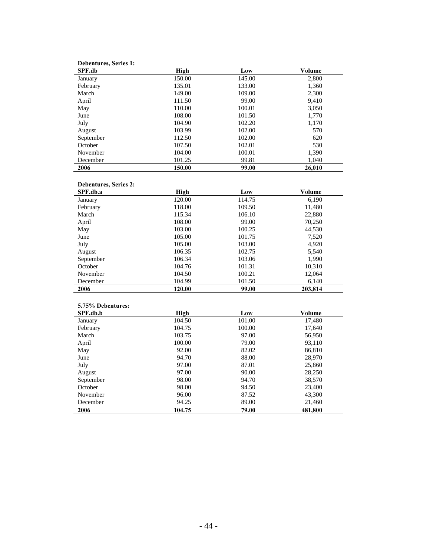#### **Debentures, Series 1:**

| SPF.db    | High   | Low    | Volume |
|-----------|--------|--------|--------|
| January   | 150.00 | 145.00 | 2,800  |
| February  | 135.01 | 133.00 | 1,360  |
| March     | 149.00 | 109.00 | 2,300  |
| April     | 111.50 | 99.00  | 9,410  |
| May       | 110.00 | 100.01 | 3,050  |
| June      | 108.00 | 101.50 | 1,770  |
| July      | 104.90 | 102.20 | 1,170  |
| August    | 103.99 | 102.00 | 570    |
| September | 112.50 | 102.00 | 620    |
| October   | 107.50 | 102.01 | 530    |
| November  | 104.00 | 100.01 | 1,390  |
| December  | 101.25 | 99.81  | 1.040  |
| 2006      | 150.00 | 99.00  | 26,010 |

#### **Debentures, Series 2:**

| SPF.db.a  | High   | Low    | Volume  |
|-----------|--------|--------|---------|
| January   | 120.00 | 114.75 | 6.190   |
| February  | 118.00 | 109.50 | 11,480  |
| March     | 115.34 | 106.10 | 22,880  |
| April     | 108.00 | 99.00  | 70.250  |
| May       | 103.00 | 100.25 | 44,530  |
| June      | 105.00 | 101.75 | 7,520   |
| July      | 105.00 | 103.00 | 4,920   |
| August    | 106.35 | 102.75 | 5,540   |
| September | 106.34 | 103.06 | 1,990   |
| October   | 104.76 | 101.31 | 10,310  |
| November  | 104.50 | 100.21 | 12,064  |
| December  | 104.99 | 101.50 | 6,140   |
| 2006      | 120.00 | 99.00  | 203,814 |

#### **5.75% Debentures:**

| SPF.db.b  | High   | Low    | Volume  |
|-----------|--------|--------|---------|
| January   | 104.50 | 101.00 | 17,480  |
| February  | 104.75 | 100.00 | 17,640  |
| March     | 103.75 | 97.00  | 56,950  |
| April     | 100.00 | 79.00  | 93,110  |
| May       | 92.00  | 82.02  | 86,810  |
| June      | 94.70  | 88.00  | 28,970  |
| July      | 97.00  | 87.01  | 25,860  |
| August    | 97.00  | 90.00  | 28,250  |
| September | 98.00  | 94.70  | 38,570  |
| October   | 98.00  | 94.50  | 23,400  |
| November  | 96.00  | 87.52  | 43,300  |
| December  | 94.25  | 89.00  | 21,460  |
| 2006      | 104.75 | 79.00  | 481,800 |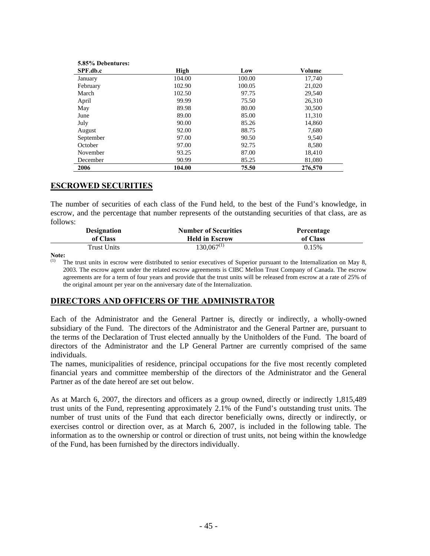| 9.09 / 0 D C D C H t G L C 3 . |        |        |         |
|--------------------------------|--------|--------|---------|
| SPF.db.c                       | High   | Low    | Volume  |
| January                        | 104.00 | 100.00 | 17,740  |
| February                       | 102.90 | 100.05 | 21,020  |
| March                          | 102.50 | 97.75  | 29,540  |
| April                          | 99.99  | 75.50  | 26,310  |
| May                            | 89.98  | 80.00  | 30,500  |
| June                           | 89.00  | 85.00  | 11,310  |
| July                           | 90.00  | 85.26  | 14,860  |
| August                         | 92.00  | 88.75  | 7,680   |
| September                      | 97.00  | 90.50  | 9,540   |
| October                        | 97.00  | 92.75  | 8,580   |
| November                       | 93.25  | 87.00  | 18,410  |
| December                       | 90.99  | 85.25  | 81,080  |
| 2006                           | 104.00 | 75.50  | 276,570 |

### **ESCROWED SECURITIES**

<span id="page-49-0"></span>**5.85% Debentures:** 

The number of securities of each class of the Fund held, to the best of the Fund's knowledge, in escrow, and the percentage that number represents of the outstanding securities of that class, are as follows:

| <b>Designation</b> | <b>Number of Securities</b> | Percentage |
|--------------------|-----------------------------|------------|
| of Class           | <b>Held in Escrow</b>       | of Class   |
| <b>Trust Units</b> | $130,067^{(1)}$             | 0.15%      |

**Note:** 

The trust units in escrow were distributed to senior executives of Superior pursuant to the Internalization on May 8, 2003. The escrow agent under the related escrow agreements is CIBC Mellon Trust Company of Canada. The escrow agreements are for a term of four years and provide that the trust units will be released from escrow at a rate of 25% of the original amount per year on the anniversary date of the Internalization.

### **DIRECTORS AND OFFICERS OF THE ADMINISTRATOR**

Each of the Administrator and the General Partner is, directly or indirectly, a wholly-owned subsidiary of the Fund. The directors of the Administrator and the General Partner are, pursuant to the terms of the Declaration of Trust elected annually by the Unitholders of the Fund. The board of directors of the Administrator and the LP General Partner are currently comprised of the same individuals.

The names, municipalities of residence, principal occupations for the five most recently completed financial years and committee membership of the directors of the Administrator and the General Partner as of the date hereof are set out below.

As at March 6, 2007, the directors and officers as a group owned, directly or indirectly 1,815,489 trust units of the Fund, representing approximately 2.1% of the Fund's outstanding trust units. The number of trust units of the Fund that each director beneficially owns, directly or indirectly, or exercises control or direction over, as at March 6, 2007, is included in the following table. The information as to the ownership or control or direction of trust units, not being within the knowledge of the Fund, has been furnished by the directors individually.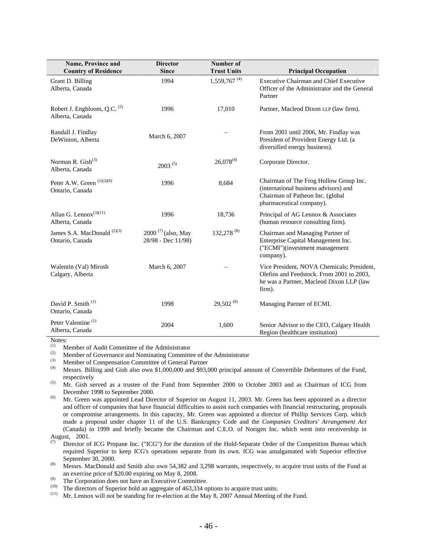| Name, Province and<br><b>Country of Residence</b>          | <b>Director</b><br><b>Since</b>               | Number of<br><b>Trust Units</b> | <b>Principal Occupation</b>                                                                                                                     |
|------------------------------------------------------------|-----------------------------------------------|---------------------------------|-------------------------------------------------------------------------------------------------------------------------------------------------|
| Grant D. Billing<br>Alberta, Canada                        | 1994                                          | $1,559,767$ <sup>(4)</sup>      | Executive Chairman and Chief Executive<br>Officer of the Administrator and the General<br>Partner                                               |
| Robert J. Engbloom, Q.C. <sup>(2)</sup><br>Alberta, Canada | 1996                                          | 17,010                          | Partner, Macleod Dixon LLP (law firm).                                                                                                          |
| Randall J. Findlay<br>DeWinton, Alberta                    | March 6, 2007                                 |                                 | From 2001 until 2006, Mr. Findlay was<br>President of Provident Energy Ltd. (a<br>diversified energy business).                                 |
| Norman R. $\text{Gish}^{(3)}$<br>Alberta, Canada           | $2003^{(5)}$                                  | $26,078^{(4)}$                  | Corporate Director.                                                                                                                             |
| Peter A.W. Green <sup>(1)(2)(6)</sup><br>Ontario, Canada   | 1996                                          | 8,684                           | Chairman of The Frog Hollow Group Inc.<br>(international business advisors) and<br>Chairman of Patheon Inc. (global<br>pharmaceutical company). |
| Allan G. Lennox $(3)(11)$<br>Alberta, Canada               | 1996                                          | 18,736                          | Principal of AG Lennox & Associates<br>(human resource consulting firm).                                                                        |
| James S.A. MacDonald <sup>(2)(3)</sup><br>Ontario, Canada  | $2000^{(7)}$ (also, May<br>28/98 - Dec 11/98) | 132,278 <sup>(8)</sup>          | Chairman and Managing Partner of<br>Enterprise Capital Management Inc.<br>("ECMI")(investment management<br>company).                           |
| Walentin (Val) Mirosh<br>Calgary, Alberta                  | March 6, 2007                                 |                                 | Vice President, NOVA Chemicals; President,<br>Olefins and Feedstock. From 2001 to 2003,<br>he was a Partner, Macleod Dixon LLP (law<br>firm).   |
| David P. Smith <sup>(1)</sup><br>Ontario, Canada           | 1998                                          | $29,502^{(8)}$                  | Managing Partner of ECMI.                                                                                                                       |
| Peter Valentine <sup>(1)</sup><br>Alberta, Canada          | 2004                                          | 1,600                           | Senior Advisor to the CEO, Calgary Health<br>Region (healthcare institution)                                                                    |

Notes:<br>(1)  $\mathbf{N}$ 

(1) Member of Audit Committee of the Administrator<br>(2) Member of Covernance and Nominating Committe

(2) Member of Governance and Nominating Committee of the Administrator<br>(3) Momber of Comparation Committee of Congrel Derther

(3) Member of Compensation Committee of General Partner

Messrs. Billing and Gish also own \$1,000,000 and \$93,000 principal amount of Convertible Debentures of the Fund, respectively

(5) Mr. Gish served as a trustee of the Fund from September 2000 to October 2003 and as Chairman of ICG from December 1998 to September 2000.

<sup>(6)</sup> Mr. Green was appointed Lead Director of Superior on August 11, 2003. Mr. Green has been appointed as a director and officer of companies that have financial difficulties to assist such companies with financial restructuring, proposals or compromise arrangements. In this capacity, Mr. Green was appointed a director of Phillip Services Corp. which made a proposal under chapter 11 of the U.S. Bankruptcy Code and the *Companies Creditors' Arrangement Act* (Canada) in 1999 and briefly became the Chairman and C.E.O. of Norigen Inc. which went into receivership in

August, 2001.<br> $\frac{(7)}{(7)}$  Director of

(7) Director of ICG Propane Inc. ("ICG") for the duration of the Hold-Separate Order of the Competition Bureau which required Superior to keep ICG's operations separate from its own. ICG was amalgamated with Superior effective September 30, 2000.

<sup>(8)</sup> Messrs. MacDonald and Smith also own 54,382 and 3,298 warrants, respectively, to acquire trust units of the Fund at an exercise price of \$20.00 expiring on May 8, 2008.

(9) The Corporation does not have an Executive Committee.

(10) The directors of Superior hold an aggregate of 463,334 options to acquire trust units.<br>(11) Mr. Lennox will not be standing for re-election at the May 8, 2007 Annual Meeting c

Mr. Lennox will not be standing for re-election at the May 8, 2007 Annual Meeting of the Fund.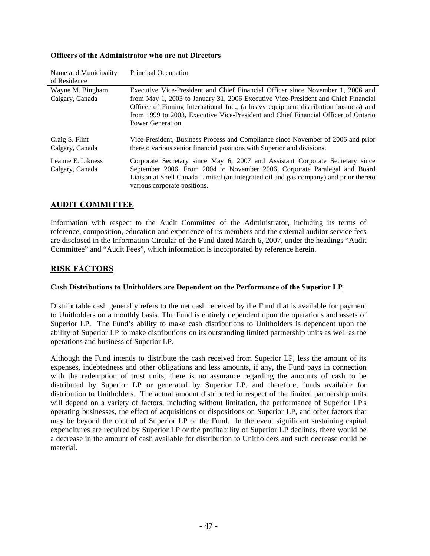| Name and Municipality<br>of Residence | Principal Occupation                                                                                                                                                                                                                                                                                                                                                    |
|---------------------------------------|-------------------------------------------------------------------------------------------------------------------------------------------------------------------------------------------------------------------------------------------------------------------------------------------------------------------------------------------------------------------------|
| Wayne M. Bingham<br>Calgary, Canada   | Executive Vice-President and Chief Financial Officer since November 1, 2006 and<br>from May 1, 2003 to January 31, 2006 Executive Vice-President and Chief Financial<br>Officer of Finning International Inc., (a heavy equipment distribution business) and<br>from 1999 to 2003, Executive Vice-President and Chief Financial Officer of Ontario<br>Power Generation. |
| Craig S. Flint<br>Calgary, Canada     | Vice-President, Business Process and Compliance since November of 2006 and prior<br>thereto various senior financial positions with Superior and divisions.                                                                                                                                                                                                             |
| Leanne E. Likness<br>Calgary, Canada  | Corporate Secretary since May 6, 2007 and Assistant Corporate Secretary since<br>September 2006. From 2004 to November 2006, Corporate Paralegal and Board<br>Liaison at Shell Canada Limited (an integrated oil and gas company) and prior thereto<br>various corporate positions.                                                                                     |

### <span id="page-51-0"></span>**Officers of the Administrator who are not Directors**

### **AUDIT COMMITTEE**

Information with respect to the Audit Committee of the Administrator, including its terms of reference, composition, education and experience of its members and the external auditor service fees are disclosed in the Information Circular of the Fund dated March 6, 2007, under the headings "Audit Committee" and "Audit Fees", which information is incorporated by reference herein.

### **RISK FACTORS**

### **Cash Distributions to Unitholders are Dependent on the Performance of the Superior LP**

Distributable cash generally refers to the net cash received by the Fund that is available for payment to Unitholders on a monthly basis. The Fund is entirely dependent upon the operations and assets of Superior LP. The Fund's ability to make cash distributions to Unitholders is dependent upon the ability of Superior LP to make distributions on its outstanding limited partnership units as well as the operations and business of Superior LP.

Although the Fund intends to distribute the cash received from Superior LP, less the amount of its expenses, indebtedness and other obligations and less amounts, if any, the Fund pays in connection with the redemption of trust units, there is no assurance regarding the amounts of cash to be distributed by Superior LP or generated by Superior LP, and therefore, funds available for distribution to Unitholders. The actual amount distributed in respect of the limited partnership units will depend on a variety of factors, including without limitation, the performance of Superior LP's operating businesses, the effect of acquisitions or dispositions on Superior LP, and other factors that may be beyond the control of Superior LP or the Fund. In the event significant sustaining capital expenditures are required by Superior LP or the profitability of Superior LP declines, there would be a decrease in the amount of cash available for distribution to Unitholders and such decrease could be material.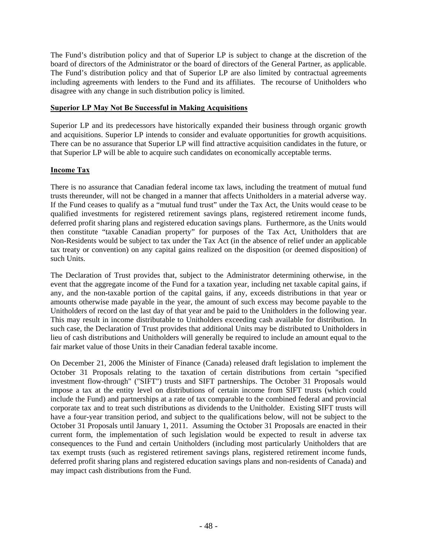The Fund's distribution policy and that of Superior LP is subject to change at the discretion of the board of directors of the Administrator or the board of directors of the General Partner, as applicable. The Fund's distribution policy and that of Superior LP are also limited by contractual agreements including agreements with lenders to the Fund and its affiliates. The recourse of Unitholders who disagree with any change in such distribution policy is limited.

### **Superior LP May Not Be Successful in Making Acquisitions**

Superior LP and its predecessors have historically expanded their business through organic growth and acquisitions. Superior LP intends to consider and evaluate opportunities for growth acquisitions. There can be no assurance that Superior LP will find attractive acquisition candidates in the future, or that Superior LP will be able to acquire such candidates on economically acceptable terms.

### **Income Tax**

There is no assurance that Canadian federal income tax laws, including the treatment of mutual fund trusts thereunder, will not be changed in a manner that affects Unitholders in a material adverse way. If the Fund ceases to qualify as a "mutual fund trust" under the Tax Act, the Units would cease to be qualified investments for registered retirement savings plans, registered retirement income funds, deferred profit sharing plans and registered education savings plans. Furthermore, as the Units would then constitute "taxable Canadian property" for purposes of the Tax Act, Unitholders that are Non-Residents would be subject to tax under the Tax Act (in the absence of relief under an applicable tax treaty or convention) on any capital gains realized on the disposition (or deemed disposition) of such Units.

The Declaration of Trust provides that, subject to the Administrator determining otherwise, in the event that the aggregate income of the Fund for a taxation year, including net taxable capital gains, if any, and the non-taxable portion of the capital gains, if any, exceeds distributions in that year or amounts otherwise made payable in the year, the amount of such excess may become payable to the Unitholders of record on the last day of that year and be paid to the Unitholders in the following year. This may result in income distributable to Unitholders exceeding cash available for distribution. In such case, the Declaration of Trust provides that additional Units may be distributed to Unitholders in lieu of cash distributions and Unitholders will generally be required to include an amount equal to the fair market value of those Units in their Canadian federal taxable income.

On December 21, 2006 the Minister of Finance (Canada) released draft legislation to implement the October 31 Proposals relating to the taxation of certain distributions from certain "specified investment flow-through" ("SIFT") trusts and SIFT partnerships. The October 31 Proposals would impose a tax at the entity level on distributions of certain income from SIFT trusts (which could include the Fund) and partnerships at a rate of tax comparable to the combined federal and provincial corporate tax and to treat such distributions as dividends to the Unitholder. Existing SIFT trusts will have a four-year transition period, and subject to the qualifications below, will not be subject to the October 31 Proposals until January 1, 2011. Assuming the October 31 Proposals are enacted in their current form, the implementation of such legislation would be expected to result in adverse tax consequences to the Fund and certain Unitholders (including most particularly Unitholders that are tax exempt trusts (such as registered retirement savings plans, registered retirement income funds, deferred profit sharing plans and registered education savings plans and non-residents of Canada) and may impact cash distributions from the Fund.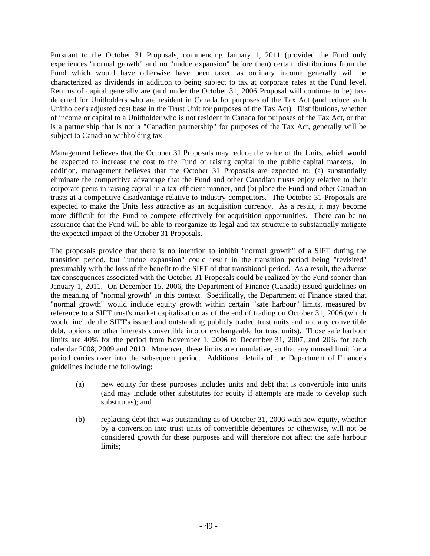Pursuant to the October 31 Proposals, commencing January 1, 2011 (provided the Fund only experiences "normal growth" and no "undue expansion" before then) certain distributions from the Fund which would have otherwise have been taxed as ordinary income generally will be characterized as dividends in addition to being subject to tax at corporate rates at the Fund level. Returns of capital generally are (and under the October 31, 2006 Proposal will continue to be) taxdeferred for Unitholders who are resident in Canada for purposes of the Tax Act (and reduce such Unitholder's adjusted cost base in the Trust Unit for purposes of the Tax Act). Distributions, whether of income or capital to a Unitholder who is not resident in Canada for purposes of the Tax Act, or that is a partnership that is not a "Canadian partnership" for purposes of the Tax Act, generally will be subject to Canadian withholding tax.

Management believes that the October 31 Proposals may reduce the value of the Units, which would be expected to increase the cost to the Fund of raising capital in the public capital markets. In addition, management believes that the October 31 Proposals are expected to: (a) substantially eliminate the competitive advantage that the Fund and other Canadian trusts enjoy relative to their corporate peers in raising capital in a tax-efficient manner, and (b) place the Fund and other Canadian trusts at a competitive disadvantage relative to industry competitors. The October 31 Proposals are expected to make the Units less attractive as an acquisition currency. As a result, it may become more difficult for the Fund to compete effectively for acquisition opportunities. There can be no assurance that the Fund will be able to reorganize its legal and tax structure to substantially mitigate the expected impact of the October 31 Proposals.

The proposals provide that there is no intention to inhibit "normal growth" of a SIFT during the transition period, but "undue expansion" could result in the transition period being "revisited" presumably with the loss of the benefit to the SIFT of that transitional period. As a result, the adverse tax consequences associated with the October 31 Proposals could be realized by the Fund sooner than January 1, 2011. On December 15, 2006, the Department of Finance (Canada) issued guidelines on the meaning of "normal growth" in this context. Specifically, the Department of Finance stated that "normal growth" would include equity growth within certain "safe harbour" limits, measured by reference to a SIFT trust's market capitalization as of the end of trading on October 31, 2006 (which would include the SIFT's issued and outstanding publicly traded trust units and not any convertible debt, options or other interests convertible into or exchangeable for trust units). Those safe harbour limits are 40% for the period from November 1, 2006 to December 31, 2007, and 20% for each calendar 2008, 2009 and 2010. Moreover, these limits are cumulative, so that any unused limit for a period carries over into the subsequent period. Additional details of the Department of Finance's guidelines include the following:

- (a) new equity for these purposes includes units and debt that is convertible into units (and may include other substitutes for equity if attempts are made to develop such substitutes); and
- (b) replacing debt that was outstanding as of October 31, 2006 with new equity, whether by a conversion into trust units of convertible debentures or otherwise, will not be considered growth for these purposes and will therefore not affect the safe harbour limits;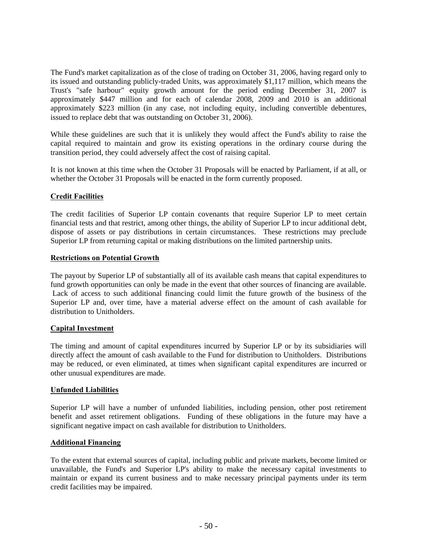The Fund's market capitalization as of the close of trading on October 31, 2006, having regard only to its issued and outstanding publicly-traded Units, was approximately \$1,117 million, which means the Trust's "safe harbour" equity growth amount for the period ending December 31, 2007 is approximately \$447 million and for each of calendar 2008, 2009 and 2010 is an additional approximately \$223 million (in any case, not including equity, including convertible debentures, issued to replace debt that was outstanding on October 31, 2006).

While these guidelines are such that it is unlikely they would affect the Fund's ability to raise the capital required to maintain and grow its existing operations in the ordinary course during the transition period, they could adversely affect the cost of raising capital.

It is not known at this time when the October 31 Proposals will be enacted by Parliament, if at all, or whether the October 31 Proposals will be enacted in the form currently proposed.

### **Credit Facilities**

The credit facilities of Superior LP contain covenants that require Superior LP to meet certain financial tests and that restrict, among other things, the ability of Superior LP to incur additional debt, dispose of assets or pay distributions in certain circumstances. These restrictions may preclude Superior LP from returning capital or making distributions on the limited partnership units.

### **Restrictions on Potential Growth**

The payout by Superior LP of substantially all of its available cash means that capital expenditures to fund growth opportunities can only be made in the event that other sources of financing are available. Lack of access to such additional financing could limit the future growth of the business of the Superior LP and, over time, have a material adverse effect on the amount of cash available for distribution to Unitholders.

### **Capital Investment**

The timing and amount of capital expenditures incurred by Superior LP or by its subsidiaries will directly affect the amount of cash available to the Fund for distribution to Unitholders. Distributions may be reduced, or even eliminated, at times when significant capital expenditures are incurred or other unusual expenditures are made.

### **Unfunded Liabilities**

Superior LP will have a number of unfunded liabilities, including pension, other post retirement benefit and asset retirement obligations. Funding of these obligations in the future may have a significant negative impact on cash available for distribution to Unitholders.

### **Additional Financing**

To the extent that external sources of capital, including public and private markets, become limited or unavailable, the Fund's and Superior LP's ability to make the necessary capital investments to maintain or expand its current business and to make necessary principal payments under its term credit facilities may be impaired.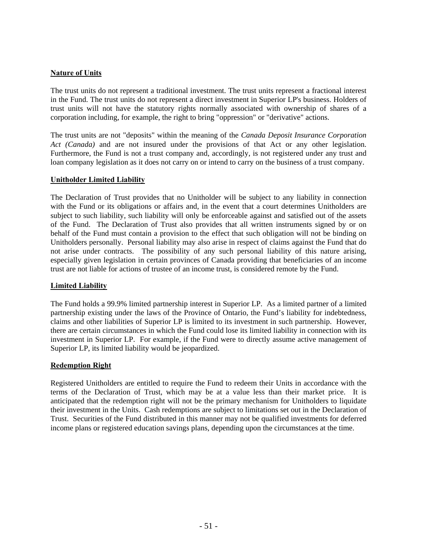### **Nature of Units**

The trust units do not represent a traditional investment. The trust units represent a fractional interest in the Fund. The trust units do not represent a direct investment in Superior LP's business. Holders of trust units will not have the statutory rights normally associated with ownership of shares of a corporation including, for example, the right to bring "oppression" or "derivative" actions.

The trust units are not "deposits" within the meaning of the *Canada Deposit Insurance Corporation Act (Canada)* and are not insured under the provisions of that Act or any other legislation. Furthermore, the Fund is not a trust company and, accordingly, is not registered under any trust and loan company legislation as it does not carry on or intend to carry on the business of a trust company.

### **Unitholder Limited Liability**

The Declaration of Trust provides that no Unitholder will be subject to any liability in connection with the Fund or its obligations or affairs and, in the event that a court determines Unitholders are subject to such liability, such liability will only be enforceable against and satisfied out of the assets of the Fund. The Declaration of Trust also provides that all written instruments signed by or on behalf of the Fund must contain a provision to the effect that such obligation will not be binding on Unitholders personally. Personal liability may also arise in respect of claims against the Fund that do not arise under contracts. The possibility of any such personal liability of this nature arising, especially given legislation in certain provinces of Canada providing that beneficiaries of an income trust are not liable for actions of trustee of an income trust, is considered remote by the Fund.

### **Limited Liability**

The Fund holds a 99.9% limited partnership interest in Superior LP. As a limited partner of a limited partnership existing under the laws of the Province of Ontario, the Fund's liability for indebtedness, claims and other liabilities of Superior LP is limited to its investment in such partnership. However, there are certain circumstances in which the Fund could lose its limited liability in connection with its investment in Superior LP. For example, if the Fund were to directly assume active management of Superior LP, its limited liability would be jeopardized.

### **Redemption Right**

Registered Unitholders are entitled to require the Fund to redeem their Units in accordance with the terms of the Declaration of Trust, which may be at a value less than their market price. It is anticipated that the redemption right will not be the primary mechanism for Unitholders to liquidate their investment in the Units. Cash redemptions are subject to limitations set out in the Declaration of Trust. Securities of the Fund distributed in this manner may not be qualified investments for deferred income plans or registered education savings plans, depending upon the circumstances at the time.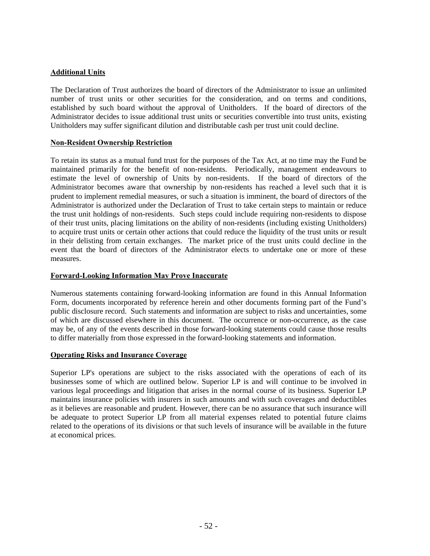### **Additional Units**

The Declaration of Trust authorizes the board of directors of the Administrator to issue an unlimited number of trust units or other securities for the consideration, and on terms and conditions, established by such board without the approval of Unitholders. If the board of directors of the Administrator decides to issue additional trust units or securities convertible into trust units, existing Unitholders may suffer significant dilution and distributable cash per trust unit could decline.

### **Non-Resident Ownership Restriction**

To retain its status as a mutual fund trust for the purposes of the Tax Act, at no time may the Fund be maintained primarily for the benefit of non-residents. Periodically, management endeavours to estimate the level of ownership of Units by non-residents. If the board of directors of the Administrator becomes aware that ownership by non-residents has reached a level such that it is prudent to implement remedial measures, or such a situation is imminent, the board of directors of the Administrator is authorized under the Declaration of Trust to take certain steps to maintain or reduce the trust unit holdings of non-residents. Such steps could include requiring non-residents to dispose of their trust units, placing limitations on the ability of non-residents (including existing Unitholders) to acquire trust units or certain other actions that could reduce the liquidity of the trust units or result in their delisting from certain exchanges. The market price of the trust units could decline in the event that the board of directors of the Administrator elects to undertake one or more of these measures.

#### **Forward-Looking Information May Prove Inaccurate**

Numerous statements containing forward-looking information are found in this Annual Information Form, documents incorporated by reference herein and other documents forming part of the Fund's public disclosure record. Such statements and information are subject to risks and uncertainties, some of which are discussed elsewhere in this document. The occurrence or non-occurrence, as the case may be, of any of the events described in those forward-looking statements could cause those results to differ materially from those expressed in the forward-looking statements and information.

### **Operating Risks and Insurance Coverage**

Superior LP's operations are subject to the risks associated with the operations of each of its businesses some of which are outlined below. Superior LP is and will continue to be involved in various legal proceedings and litigation that arises in the normal course of its business. Superior LP maintains insurance policies with insurers in such amounts and with such coverages and deductibles as it believes are reasonable and prudent. However, there can be no assurance that such insurance will be adequate to protect Superior LP from all material expenses related to potential future claims related to the operations of its divisions or that such levels of insurance will be available in the future at economical prices.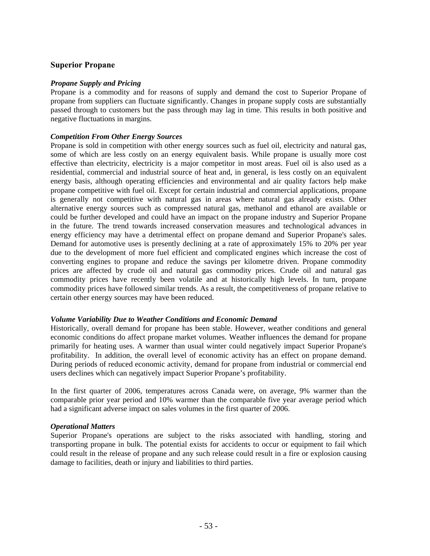### **Superior Propane**

#### *Propane Supply and Pricing*

Propane is a commodity and for reasons of supply and demand the cost to Superior Propane of propane from suppliers can fluctuate significantly. Changes in propane supply costs are substantially passed through to customers but the pass through may lag in time. This results in both positive and negative fluctuations in margins.

### *Competition From Other Energy Sources*

Propane is sold in competition with other energy sources such as fuel oil, electricity and natural gas, some of which are less costly on an energy equivalent basis. While propane is usually more cost effective than electricity, electricity is a major competitor in most areas. Fuel oil is also used as a residential, commercial and industrial source of heat and, in general, is less costly on an equivalent energy basis, although operating efficiencies and environmental and air quality factors help make propane competitive with fuel oil. Except for certain industrial and commercial applications, propane is generally not competitive with natural gas in areas where natural gas already exists. Other alternative energy sources such as compressed natural gas, methanol and ethanol are available or could be further developed and could have an impact on the propane industry and Superior Propane in the future. The trend towards increased conservation measures and technological advances in energy efficiency may have a detrimental effect on propane demand and Superior Propane's sales. Demand for automotive uses is presently declining at a rate of approximately 15% to 20% per year due to the development of more fuel efficient and complicated engines which increase the cost of converting engines to propane and reduce the savings per kilometre driven. Propane commodity prices are affected by crude oil and natural gas commodity prices. Crude oil and natural gas commodity prices have recently been volatile and at historically high levels. In turn, propane commodity prices have followed similar trends. As a result, the competitiveness of propane relative to certain other energy sources may have been reduced.

### *Volume Variability Due to Weather Conditions and Economic Demand*

Historically, overall demand for propane has been stable. However, weather conditions and general economic conditions do affect propane market volumes. Weather influences the demand for propane primarily for heating uses. A warmer than usual winter could negatively impact Superior Propane's profitability. In addition, the overall level of economic activity has an effect on propane demand. During periods of reduced economic activity, demand for propane from industrial or commercial end users declines which can negatively impact Superior Propane's profitability.

In the first quarter of 2006, temperatures across Canada were, on average, 9% warmer than the comparable prior year period and 10% warmer than the comparable five year average period which had a significant adverse impact on sales volumes in the first quarter of 2006.

### *Operational Matters*

Superior Propane's operations are subject to the risks associated with handling, storing and transporting propane in bulk. The potential exists for accidents to occur or equipment to fail which could result in the release of propane and any such release could result in a fire or explosion causing damage to facilities, death or injury and liabilities to third parties.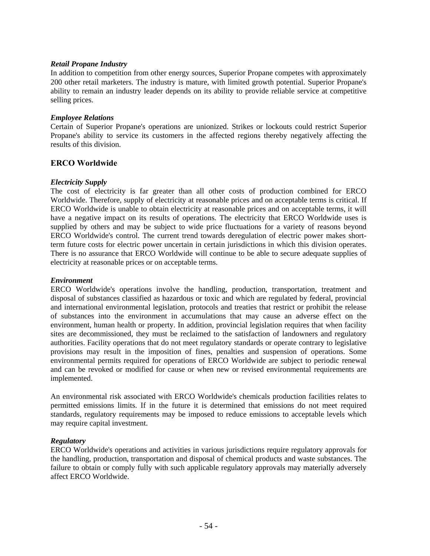### *Retail Propane Industry*

In addition to competition from other energy sources, Superior Propane competes with approximately 200 other retail marketers. The industry is mature, with limited growth potential. Superior Propane's ability to remain an industry leader depends on its ability to provide reliable service at competitive selling prices.

### *Employee Relations*

Certain of Superior Propane's operations are unionized. Strikes or lockouts could restrict Superior Propane's ability to service its customers in the affected regions thereby negatively affecting the results of this division.

### **ERCO Worldwide**

### *Electricity Supply*

The cost of electricity is far greater than all other costs of production combined for ERCO Worldwide. Therefore, supply of electricity at reasonable prices and on acceptable terms is critical. If ERCO Worldwide is unable to obtain electricity at reasonable prices and on acceptable terms, it will have a negative impact on its results of operations. The electricity that ERCO Worldwide uses is supplied by others and may be subject to wide price fluctuations for a variety of reasons beyond ERCO Worldwide's control. The current trend towards deregulation of electric power makes shortterm future costs for electric power uncertain in certain jurisdictions in which this division operates. There is no assurance that ERCO Worldwide will continue to be able to secure adequate supplies of electricity at reasonable prices or on acceptable terms.

### *Environment*

ERCO Worldwide's operations involve the handling, production, transportation, treatment and disposal of substances classified as hazardous or toxic and which are regulated by federal, provincial and international environmental legislation, protocols and treaties that restrict or prohibit the release of substances into the environment in accumulations that may cause an adverse effect on the environment, human health or property. In addition, provincial legislation requires that when facility sites are decommissioned, they must be reclaimed to the satisfaction of landowners and regulatory authorities. Facility operations that do not meet regulatory standards or operate contrary to legislative provisions may result in the imposition of fines, penalties and suspension of operations. Some environmental permits required for operations of ERCO Worldwide are subject to periodic renewal and can be revoked or modified for cause or when new or revised environmental requirements are implemented.

An environmental risk associated with ERCO Worldwide's chemicals production facilities relates to permitted emissions limits. If in the future it is determined that emissions do not meet required standards, regulatory requirements may be imposed to reduce emissions to acceptable levels which may require capital investment.

### *Regulatory*

ERCO Worldwide's operations and activities in various jurisdictions require regulatory approvals for the handling, production, transportation and disposal of chemical products and waste substances. The failure to obtain or comply fully with such applicable regulatory approvals may materially adversely affect ERCO Worldwide.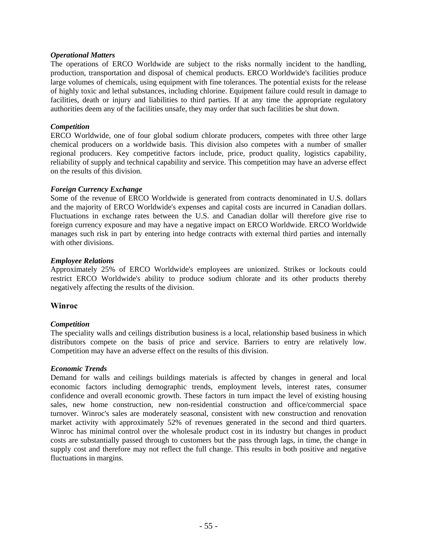#### *Operational Matters*

The operations of ERCO Worldwide are subject to the risks normally incident to the handling, production, transportation and disposal of chemical products. ERCO Worldwide's facilities produce large volumes of chemicals, using equipment with fine tolerances. The potential exists for the release of highly toxic and lethal substances, including chlorine. Equipment failure could result in damage to facilities, death or injury and liabilities to third parties. If at any time the appropriate regulatory authorities deem any of the facilities unsafe, they may order that such facilities be shut down.

#### *Competition*

ERCO Worldwide, one of four global sodium chlorate producers, competes with three other large chemical producers on a worldwide basis. This division also competes with a number of smaller regional producers. Key competitive factors include, price, product quality, logistics capability, reliability of supply and technical capability and service. This competition may have an adverse effect on the results of this division.

#### *Foreign Currency Exchange*

Some of the revenue of ERCO Worldwide is generated from contracts denominated in U.S. dollars and the majority of ERCO Worldwide's expenses and capital costs are incurred in Canadian dollars. Fluctuations in exchange rates between the U.S. and Canadian dollar will therefore give rise to foreign currency exposure and may have a negative impact on ERCO Worldwide. ERCO Worldwide manages such risk in part by entering into hedge contracts with external third parties and internally with other divisions.

#### *Employee Relations*

Approximately 25% of ERCO Worldwide's employees are unionized. Strikes or lockouts could restrict ERCO Worldwide's ability to produce sodium chlorate and its other products thereby negatively affecting the results of the division.

### **Winroc**

#### *Competition*

The speciality walls and ceilings distribution business is a local, relationship based business in which distributors compete on the basis of price and service. Barriers to entry are relatively low. Competition may have an adverse effect on the results of this division.

#### *Economic Trends*

Demand for walls and ceilings buildings materials is affected by changes in general and local economic factors including demographic trends, employment levels, interest rates, consumer confidence and overall economic growth. These factors in turn impact the level of existing housing sales, new home construction, new non-residential construction and office/commercial space turnover. Winroc's sales are moderately seasonal, consistent with new construction and renovation market activity with approximately 52% of revenues generated in the second and third quarters. Winroc has minimal control over the wholesale product cost in its industry but changes in product costs are substantially passed through to customers but the pass through lags, in time, the change in supply cost and therefore may not reflect the full change. This results in both positive and negative fluctuations in margins.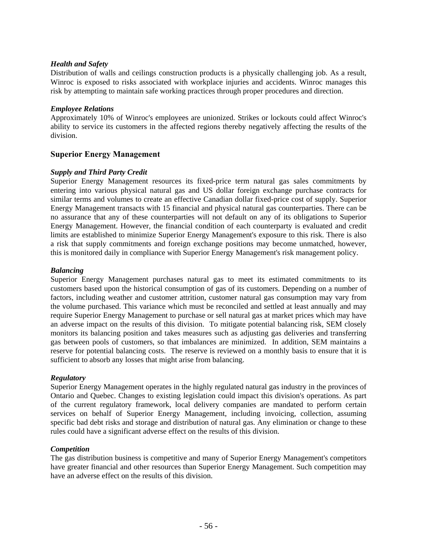### *Health and Safety*

Distribution of walls and ceilings construction products is a physically challenging job. As a result, Winroc is exposed to risks associated with workplace injuries and accidents. Winroc manages this risk by attempting to maintain safe working practices through proper procedures and direction.

### *Employee Relations*

Approximately 10% of Winroc's employees are unionized. Strikes or lockouts could affect Winroc's ability to service its customers in the affected regions thereby negatively affecting the results of the division.

### **Superior Energy Management**

### *Supply and Third Party Credit*

Superior Energy Management resources its fixed-price term natural gas sales commitments by entering into various physical natural gas and US dollar foreign exchange purchase contracts for similar terms and volumes to create an effective Canadian dollar fixed-price cost of supply. Superior Energy Management transacts with 15 financial and physical natural gas counterparties. There can be no assurance that any of these counterparties will not default on any of its obligations to Superior Energy Management. However, the financial condition of each counterparty is evaluated and credit limits are established to minimize Superior Energy Management's exposure to this risk. There is also a risk that supply commitments and foreign exchange positions may become unmatched, however, this is monitored daily in compliance with Superior Energy Management's risk management policy.

### *Balancing*

Superior Energy Management purchases natural gas to meet its estimated commitments to its customers based upon the historical consumption of gas of its customers. Depending on a number of factors, including weather and customer attrition, customer natural gas consumption may vary from the volume purchased. This variance which must be reconciled and settled at least annually and may require Superior Energy Management to purchase or sell natural gas at market prices which may have an adverse impact on the results of this division. To mitigate potential balancing risk, SEM closely monitors its balancing position and takes measures such as adjusting gas deliveries and transferring gas between pools of customers, so that imbalances are minimized. In addition, SEM maintains a reserve for potential balancing costs. The reserve is reviewed on a monthly basis to ensure that it is sufficient to absorb any losses that might arise from balancing.

### *Regulatory*

Superior Energy Management operates in the highly regulated natural gas industry in the provinces of Ontario and Quebec. Changes to existing legislation could impact this division's operations. As part of the current regulatory framework, local delivery companies are mandated to perform certain services on behalf of Superior Energy Management, including invoicing, collection, assuming specific bad debt risks and storage and distribution of natural gas. Any elimination or change to these rules could have a significant adverse effect on the results of this division.

### *Competition*

The gas distribution business is competitive and many of Superior Energy Management's competitors have greater financial and other resources than Superior Energy Management. Such competition may have an adverse effect on the results of this division.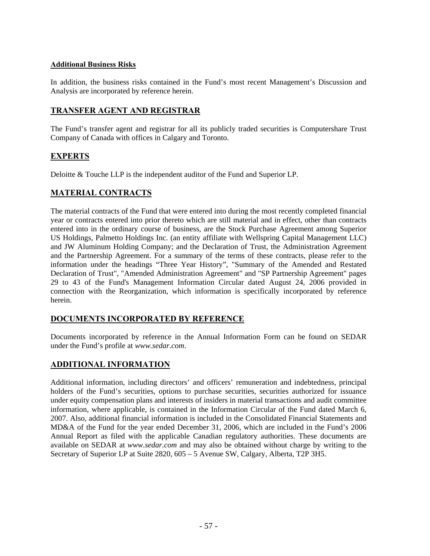### <span id="page-61-0"></span>**Additional Business Risks**

In addition, the business risks contained in the Fund's most recent Management's Discussion and Analysis are incorporated by reference herein.

## **TRANSFER AGENT AND REGISTRAR**

The Fund's transfer agent and registrar for all its publicly traded securities is Computershare Trust Company of Canada with offices in Calgary and Toronto.

# **EXPERTS**

Deloitte & Touche LLP is the independent auditor of the Fund and Superior LP.

# **MATERIAL CONTRACTS**

The material contracts of the Fund that were entered into during the most recently completed financial year or contracts entered into prior thereto which are still material and in effect, other than contracts entered into in the ordinary course of business, are the Stock Purchase Agreement among Superior US Holdings, Palmetto Holdings Inc. (an entity affiliate with Wellspring Capital Management LLC) and JW Aluminum Holding Company; and the Declaration of Trust, the Administration Agreement and the Partnership Agreement. For a summary of the terms of these contracts, please refer to the information under the headings "Three Year History", "Summary of the Amended and Restated Declaration of Trust", "Amended Administration Agreement" and "SP Partnership Agreement" pages 29 to 43 of the Fund's Management Information Circular dated August 24, 2006 provided in connection with the Reorganization, which information is specifically incorporated by reference herein.

### **DOCUMENTS INCORPORATED BY REFERENCE**

Documents incorporated by reference in the Annual Information Form can be found on SEDAR under the Fund's profile at *www.sedar.com*.

### **ADDITIONAL INFORMATION**

Additional information, including directors' and officers' remuneration and indebtedness, principal holders of the Fund's securities, options to purchase securities, securities authorized for issuance under equity compensation plans and interests of insiders in material transactions and audit committee information, where applicable, is contained in the Information Circular of the Fund dated March 6, 2007. Also, additional financial information is included in the Consolidated Financial Statements and MD&A of the Fund for the year ended December 31, 2006, which are included in the Fund's 2006 Annual Report as filed with the applicable Canadian regulatory authorities. These documents are available on SEDAR at *www.sedar.com* and may also be obtained without charge by writing to the Secretary of Superior LP at Suite 2820, 605 – 5 Avenue SW, Calgary, Alberta, T2P 3H5.